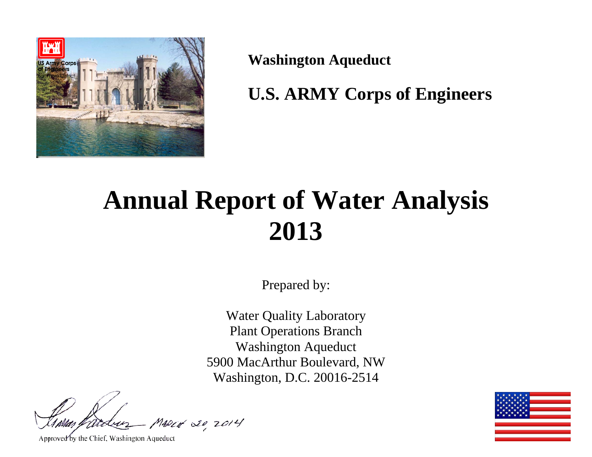

**Washington Aqueduct** 

**U.S. ARMY Corps of Engineers** 

# **Annual Report of Water Analysis 2013**

Prepared by:

Water Quality Laboratory Plant Operations Branch Washington Aqueduct 5900 MacArthur Boulevard, NW Washington, D.C. 20016-2514

MARCH 20 2014

Approved by the Chief, Washington Aqueduct

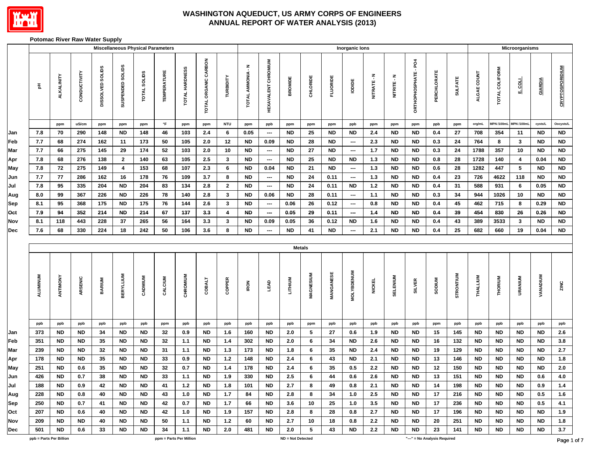

#### **Potomac River Raw Water Supply**

|                 |                         |              |                  |                         | <b>Miscellaneous Physical Parameters</b> |                     |                         |                      |              |                   |                            |                   |               |                 | <b>Inorganic lons</b>    |               |                 |                    |                              |                |             |                   | Microorganisms    |           |                        |
|-----------------|-------------------------|--------------|------------------|-------------------------|------------------------------------------|---------------------|-------------------------|----------------------|--------------|-------------------|----------------------------|-------------------|---------------|-----------------|--------------------------|---------------|-----------------|--------------------|------------------------------|----------------|-------------|-------------------|-------------------|-----------|------------------------|
| $\frac{\pi}{2}$ | ALKALINITY              | CONDUCTIVITY | DISSOLVED SOLIDS | SUSPENDED SOLIDS        | <b>TOTAL SOLIDS</b>                      | <b>TEMPERATURE</b>  | TOTAL HARDNESS          | TOTAL ORGANIC CARBON | TURBIDITY    | TOTAL AMMONIA - N | <b>HEXAVALENT CHROMIUM</b> | BROMIDE           | CHLORIDE      | <b>FLUORIDE</b> | lopipe                   | NITRATE-N     | NITRITE - N     | ORTHOPHOSPHATE-PO4 | PERCHLORATE                  | <b>SULFATE</b> | ALGAE COUNT | TOTAL COLIFORM    | F COT             | GIARDIA   | <b>CRYPTOSPORIDIUM</b> |
|                 | ppm                     | uS/cm        | ppm              | ppm                     | ppm                                      | $^\circ \mathsf{F}$ | ppm                     | ppm                  | <b>NTU</b>   | ppm               | ppb                        | ppm               | ppm           | ppm             | ppb                      | ppm           | ppm             | ppm                | ppb                          | ppm            | org/mL      | <b>MPN /100mL</b> | <b>MPN /100mL</b> | cysts/L   | Oocysts/L              |
| 7.8             | 70                      | 290          | 148              | <b>ND</b>               | 148                                      | 46                  | 103                     | 2.4                  | 6            | 0.05              | $\overline{\phantom{a}}$   | <b>ND</b>         | 25            | <b>ND</b>       | <b>ND</b>                | 2.4           | <b>ND</b>       | <b>ND</b>          | 0.4                          | 27             | 708         | 354               | 11                | <b>ND</b> | <b>ND</b>              |
| 7.7             | 68                      | 274          | 162              | 11                      | 173                                      | 50                  | 105                     | $2.0\,$              | $12$         | <b>ND</b>         | 0.09                       | ND                | 28            | <b>ND</b>       | $\overline{\phantom{a}}$ | 2.3           | <b>ND</b>       | <b>ND</b>          | $0.3\,$                      | 24             | 764         | 8                 | $\mathbf{3}$      | <b>ND</b> | ${\sf ND}$             |
| 7.7             | 66                      | 275          | 145              | 29                      | 174                                      | ${\bf 52}$          | 103                     | $2.0\,$              | $10$         | <b>ND</b>         | $\hspace{0.05cm}$          | <b>ND</b>         | ${\bf 27}$    | <b>ND</b>       | $\overline{\phantom{a}}$ | $1.7$         | <b>ND</b>       | <b>ND</b>          | $0.3\,$                      | 24             | 1788        | 357               | 10                | <b>ND</b> | ${\sf ND}$             |
| 7.8             | 68                      | 276          | 138              | $\overline{2}$          | 140                                      | 63                  | 105                     | 2.5                  | $\mathbf{3}$ | <b>ND</b>         | $\overline{\phantom{a}}$   | <b>ND</b>         | 25            | <b>ND</b>       | <b>ND</b>                | 1.3           | <b>ND</b>       | <b>ND</b>          | 0.8                          | 28             | 1728        | 140               | 4                 | 0.04      | ${\sf ND}$             |
| 7.8             | 72                      | 275          | 149              | $\overline{\mathbf{4}}$ | 153                                      | 68                  | 107                     | 2.3                  | 6            | <b>ND</b>         | 0.04                       | <b>ND</b>         | 21            | <b>ND</b>       | $\overline{\phantom{a}}$ | $1.3$         | <b>ND</b>       | <b>ND</b>          | 0.6                          | 28             | 1282        | 447               | $\sqrt{5}$        | <b>ND</b> | <b>ND</b>              |
| 7.7             | 77                      | 286          | 162              | 16                      | 178                                      | 76                  | 109                     | 3.7                  | 8            | <b>ND</b>         | $\overline{\phantom{a}}$   | <b>ND</b>         | ${\bf 24}$    | 0.11            | $\overline{\phantom{a}}$ | $1.3$         | <b>ND</b>       | <b>ND</b>          | 0.4                          | 23             | 726         | 4622              | 118               | <b>ND</b> | ${\sf ND}$             |
| 7.8             | 95                      | 335          | 204              | <b>ND</b>               | 204                                      | 83                  | 134                     | $2.8\,$              | $\mathbf{2}$ | <b>ND</b>         | $\hspace{0.05cm} \ldots$   | <b>ND</b>         | ${\bf 24}$    | 0.11            | <b>ND</b>                | $1.2$         | <b>ND</b>       | $\sf ND$           | 0.4                          | 31             | 588         | 931               | 6                 | 0.05      | ${\sf ND}$             |
| 8.0             | 99                      | 367          | 226              | <b>ND</b>               | 226                                      | 78                  | 140                     | $2.8\,$              | $\mathbf{3}$ | <b>ND</b>         | 0.06                       | <b>ND</b>         | ${\bf 28}$    | 0.11            | $\overline{\phantom{a}}$ | 1.1           | <b>ND</b>       | <b>ND</b>          | 0.3                          | 34             | 944         | 1026              | 10                | <b>ND</b> | ${\sf ND}$             |
| 8.1             | 95                      | 368          | 175              | <b>ND</b>               | 175                                      | 76                  | 144                     | 2.6                  | $\mathbf{3}$ | <b>ND</b>         | ---                        | 0.06              | 26            | 0.12            | $\hspace{0.05cm} \cdots$ | 0.8           | <b>ND</b>       | <b>ND</b>          | 0.4                          | 45             | 462         | 715               | 8                 | 0.29      | <b>ND</b>              |
| 7.9             | 94                      | 352          | 214              | <b>ND</b>               | 214                                      | 67                  | 137                     | $3.3\,$              | 4            | <b>ND</b>         | $\overline{\phantom{a}}$   | 0.05              | 29            | 0.11            | $\overline{\phantom{a}}$ | 1.4           | <b>ND</b>       | <b>ND</b>          | 0.4                          | 39             | 454         | 830               | 26                | 0.26      | <b>ND</b>              |
| 8.1             | 118                     | 443          | 228              | 37                      | 265                                      | 56                  | 164                     | 3.3                  | 3            | <b>ND</b>         | 0.09                       | 0.05              | 36            | 0.12            | <b>ND</b>                | 1.6           | <b>ND</b>       | ND                 | 0.4                          | 43             | 389         | 3533              | 3                 | <b>ND</b> | <b>ND</b>              |
| 7.6             | 68                      | 330          | 224              | 18                      | 242                                      | 50                  | 106                     | 3.6                  | 8            | <b>ND</b>         | ---                        | <b>ND</b>         | 41            | <b>ND</b>       | $\hspace{0.05cm} \cdots$ | 2.1           | <b>ND</b>       | <b>ND</b>          | 0.4                          | 25             | 682         | 660               | 19                | 0.04      | <b>ND</b>              |
|                 |                         |              |                  |                         |                                          |                     |                         |                      |              |                   |                            |                   |               |                 |                          |               |                 |                    |                              |                |             |                   |                   |           |                        |
|                 |                         |              |                  |                         |                                          |                     |                         |                      |              |                   |                            |                   | <b>Metals</b> |                 |                          |               |                 |                    |                              |                |             |                   |                   |           |                        |
| <b>ALUMINUM</b> | ANTIMONY                | ARSENIC      | <b>BARIUM</b>    | <b>BERYLLIUM</b>        | CADMIUM                                  | CALCIUM             | CHROMIUM                | <b>COBALT</b>        | COPPER       | <b>IRON</b>       | LEAD                       | LITHIUM           | MAGNESIUM     | MANGANESE       | <b>MOLYBDENUM</b>        | <b>NICKEL</b> | <b>SELENIUM</b> | SILVER             | <b>SODIUM</b>                | STRONTIUM      | THALLIUM    | THORIUM           | URANIUM           | VANADIUM  | ZINC                   |
| ppb             | ppb                     | ppb          | ppb              | ppb                     | ppb                                      | ppm                 | ppb                     | ppb                  | ppb          | ppb               | ppb                        | ppb               | ppm           | ppb             | ppb                      | ppb           | ppb             | ppb                | ppm                          | ppb            | ppb         | ppb               | ppb               | ppb       | ppb                    |
| 373             | <b>ND</b>               | <b>ND</b>    | 34               | ND                      | ND                                       | 32                  | 0.9                     | ND                   | 1.6          | 160               | <b>ND</b>                  | 2.0               | 5             | 27              | 0.6                      | 1.9           | <b>ND</b>       | <b>ND</b>          | 15                           | 145            | ND          | ND                | ND                | <b>ND</b> | 2.6                    |
| 351             | <b>ND</b>               | <b>ND</b>    | 35               | <b>ND</b>               | <b>ND</b>                                | 32                  | 1.1                     | <b>ND</b>            | 1.4          | 302               | <b>ND</b>                  | 2.0               | 6             | 34              | <b>ND</b>                | 2.6           | <b>ND</b>       | <b>ND</b>          | 16                           | 132            | <b>ND</b>   | <b>ND</b>         | <b>ND</b>         | <b>ND</b> | $3.8\,$                |
| 239             | <b>ND</b>               | <b>ND</b>    | 32               | <b>ND</b>               | <b>ND</b>                                | 31                  | 1.1                     | <b>ND</b>            | $1.3$        | 173               | <b>ND</b>                  | 1.8               | 6             | 35              | <b>ND</b>                | 2.4           | <b>ND</b>       | <b>ND</b>          | 19                           | 129            | <b>ND</b>   | <b>ND</b>         | <b>ND</b>         | <b>ND</b> | $2.7\,$                |
| 178             | ${\sf ND}$              | <b>ND</b>    | 35               | <b>ND</b>               | <b>ND</b>                                | 33                  | 0.9                     | <b>ND</b>            | $1.2$        | 148               | <b>ND</b>                  | 2.4               | 6             | 43              | <b>ND</b>                | 2.1           | <b>ND</b>       | $\sf ND$           | 13                           | 146            | <b>ND</b>   | <b>ND</b>         | $\sf ND$          | <b>ND</b> | 1.8                    |
| 251             | ${\sf ND}$              | $0.6\,$      | 35               | <b>ND</b>               | $\sf ND$                                 | 32                  | 0.7                     | <b>ND</b>            | $1.4$        | 178               | ${\sf ND}$                 | $2.4$             | $\bf 6$       | 35              | 0.5                      | $2.2\,$       | <b>ND</b>       | <b>ND</b>          | 12                           | 150            | <b>ND</b>   | <b>ND</b>         | $\sf ND$          | <b>ND</b> | $2.0\,$                |
| 426             | ${\sf ND}$              | 0.7          | 38               | <b>ND</b>               | $\sf ND$                                 | 33                  | $1.1$                   | ${\sf ND}$           | 1.9          | 330               | <b>ND</b>                  | 2.5               | $\bf 6$       | 44              | 0.6                      | 2.6           | <b>ND</b>       | <b>ND</b>          | 13                           | 151            | $\sf ND$    | <b>ND</b>         | $\sf ND$          | $0.6\,$   | $4.0\,$                |
| 188             | <b>ND</b>               | 0.9          | 42               | ND                      | ND.                                      | 41                  | $1.2$                   | ND                   | 1.8          | 101               | ND                         | 2.7               | 8             | 49              | 0.8                      | 2.1           | <b>ND</b>       | <b>ND</b>          | 14                           | 198            | ND.         | <b>ND</b>         | ND                | 0.9       | 1.4                    |
| 228             | <b>ND</b>               | 0.8          | 40               | ND.                     | ND.                                      | 43                  | 1.0                     | ND.                  | 1.7          | 84                | ND                         | 2.8               | 8             | 34              | 1.0                      | 2.5           | <b>ND</b>       | <b>ND</b>          | 17                           | 216            | ND.         | <b>ND</b>         | ND.               | 0.5       | 1.6                    |
| 250             | <b>ND</b>               | 0.7          | 41               | <b>ND</b>               | ND.                                      | 42                  | 0.7                     | ND                   | 1.7          | 66                | ND                         | 3.6               | 10            | 25              | 1.0                      | 3.5           | <b>ND</b>       | <b>ND</b>          | 17                           | 236            | ND.         | <b>ND</b>         | ND.               | 0.5       | 4.1                    |
| 207             | <b>ND</b>               | 0.6          | 40               | <b>ND</b>               | ND.                                      | 42                  | 1.0                     | ND                   | 1.9          | 157               | ND                         | 2.8               | 8             | 28              | 0.8                      | 2.7           | <b>ND</b>       | <b>ND</b>          | 17                           | 196            | ND.         | <b>ND</b>         | ND.               | <b>ND</b> | 1.9                    |
| 209             | <b>ND</b>               | <b>ND</b>    | 40               | ND                      | ND                                       | 50                  | 1.1                     | ND                   | $1.2$        | 60                | ND                         | 2.7               | 10            | 18              | 0.8                      | 2.2           | <b>ND</b>       | ND                 | 20                           | 251            | ND.         | ND                | <b>ND</b>         | <b>ND</b> | 1.8                    |
| 501             | <b>ND</b>               | 0.6          | 33               | <b>ND</b>               | ND.                                      | 34                  | 1.1                     | ND                   | 2.0          | 481               | ND                         | 2.0               | 5             | 43              | <b>ND</b>                | 2.2           | <b>ND</b>       | <b>ND</b>          | 23                           | 141            | <b>ND</b>   | ND                | <b>ND</b>         | <b>ND</b> | 3.7                    |
|                 | ppb = Parts Per Billion |              |                  |                         |                                          |                     | ppm = Parts Per Million |                      |              |                   |                            | ND = Not Detected |               |                 |                          |               |                 |                    | "---" = No Analysis Required |                |             |                   |                   |           | Page 1                 |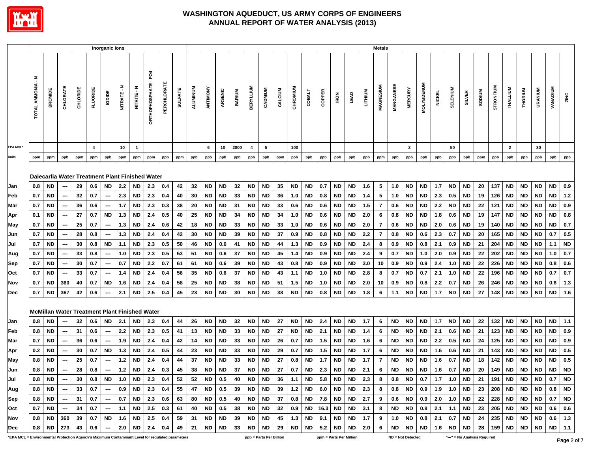

|                                                                                                 |                          |                                   |                          |          |                 | Inorganic lons           |                                                                           |              |                                    |             |                |                 |           |           |               |                  |                         |         |           |               |        |                                                                                                                                                                                            |             |         | Metals         |           |                                                      |                   |               |                 |                              |               |           |                |                |                |                                                                          |           |
|-------------------------------------------------------------------------------------------------|--------------------------|-----------------------------------|--------------------------|----------|-----------------|--------------------------|---------------------------------------------------------------------------|--------------|------------------------------------|-------------|----------------|-----------------|-----------|-----------|---------------|------------------|-------------------------|---------|-----------|---------------|--------|--------------------------------------------------------------------------------------------------------------------------------------------------------------------------------------------|-------------|---------|----------------|-----------|------------------------------------------------------|-------------------|---------------|-----------------|------------------------------|---------------|-----------|----------------|----------------|----------------|--------------------------------------------------------------------------|-----------|
|                                                                                                 | <b>TOTAL AMMONIA - N</b> | <b>BROMIDE</b>                    | CHLORATE                 | CHLORIDE | <b>FLUORIDE</b> | lopide                   | NITRATE-N                                                                 | NITRITE - N  | PO <sub>4</sub><br>ORTHOPHOSPHATE- | PERCHLORATE | <b>SULFATE</b> | <b>ALUMINUM</b> | ANTIMONY  | ARSENIC   | <b>BARIUM</b> | <b>BERYLLIUM</b> | CADMIUM                 | CALCIUM | CHROMIUM  | <b>COBALT</b> | COPPER | <b>IRON</b>                                                                                                                                                                                | <b>TEAD</b> | LITHIUM | MAGNESIUM      | MANGANESE | <b>MERCURY</b>                                       | <b>MOLYBDENUM</b> | <b>NICKEL</b> | <b>SELENIUM</b> | <b>SILVER</b>                | <b>MUNQOS</b> | STRONTIUM | THALLIUM       | <b>THORIUM</b> | <b>URANIUM</b> | VANADIUM                                                                 | ZINC      |
| <b>EPA MCL*</b>                                                                                 |                          |                                   |                          |          | 4               |                          | 10                                                                        | $\mathbf{1}$ |                                    |             |                |                 | 6         | 10        | 2000          | $\overline{4}$   | $5\phantom{.0}$         |         | 100       |               |        |                                                                                                                                                                                            |             |         |                |           | $\overline{2}$                                       |                   |               | 50              |                              |               |           | $\overline{2}$ |                | 30             |                                                                          |           |
| Units                                                                                           | ppm                      | ppm                               | ppb                      | ppm      | ppm             | ppb                      | ppm                                                                       | ppm          | ppm                                | ppb         | ppm            | ppb             | ppb       | ppb       | ppb           | ppb              | ppb                     | ppm     | ppb       | ppb           | ppb    | ppb                                                                                                                                                                                        | ppb         | ppb     | ppm            | ppb       | ppb                                                  | ppb               | ppb           | ppb             | ppb                          | ppm           | ppb       | ppb            | ppb            | ppb            | ppb                                                                      | ppb       |
|                                                                                                 |                          |                                   |                          |          |                 |                          | Dalecarlia Water Treatment Plant Finished Water                           |              |                                    |             |                |                 |           |           |               |                  |                         |         |           |               |        |                                                                                                                                                                                            |             |         |                |           |                                                      |                   |               |                 |                              |               |           |                |                |                |                                                                          |           |
| Jan                                                                                             | 0.8                      | ND                                |                          | 29       | 0.6             | <b>ND</b>                | 2.2                                                                       | <b>ND</b>    | 2.3                                | 0.4         | 42             | 32              | <b>ND</b> | <b>ND</b> | 32            | <b>ND</b>        | <b>ND</b>               | 35      | ND        | ND            | 0.7    | <b>ND</b>                                                                                                                                                                                  | <b>ND</b>   | 1.6     | 5              | 1.0       | ND                                                   | ND                | 1.7           | <b>ND</b>       | ND                           | 20            | 137       | <b>ND</b>      | ND             | ND             | ND                                                                       | 0.9       |
| Feb                                                                                             | 0.7                      | ND                                |                          | 32       | 0.7             | $\hspace{0.05cm}$        | 2.3                                                                       | ND           | 2.3                                | 0.4         | 40             | 30              | <b>ND</b> | ND        | 33            | <b>ND</b>        | ND                      | 36      | 1.0       | ND            | 0.8    | <b>ND</b>                                                                                                                                                                                  | <b>ND</b>   | 1.4     | 5              | 1.0       | ND                                                   | ND                | 2.3           | 0.5             | ND                           | 19            | 126       | <b>ND</b>      | <b>ND</b>      | ND             | <b>ND</b>                                                                | $1.2$     |
| Mar                                                                                             | 0.7                      | <b>ND</b>                         | ---                      | 36       | 0.6             | ---                      | 1.7                                                                       | <b>ND</b>    | 2.3                                | 0.3         | 38             | 20              | <b>ND</b> | ND        | 31            | <b>ND</b>        | <b>ND</b>               | 33      | 0.6       | ND            | 0.6    | <b>ND</b>                                                                                                                                                                                  | <b>ND</b>   | $1.5$   | $\overline{7}$ | 0.6       | ND                                                   | ND                | 2.2           | ND              | ND                           | 22            | 121       | <b>ND</b>      | ND             | ND             | <b>ND</b>                                                                | 0.9       |
| Apr                                                                                             | 0.1                      | ND                                | ---                      | 27       | 0.7             | <b>ND</b>                | 1.3                                                                       | <b>ND</b>    | 2.4                                | 0.5         | 40             | 25              | <b>ND</b> | <b>ND</b> | 34            | <b>ND</b>        | <b>ND</b>               | 34      | 1.0       | ND            | 0.6    | <b>ND</b>                                                                                                                                                                                  | <b>ND</b>   | 2.0     | 6              | 0.8       | ND                                                   | ND                | 1.8           | 0.6             | ND                           | 19            | 147       | <b>ND</b>      | <b>ND</b>      | ND             | ND                                                                       | 0.8       |
| May                                                                                             | 0.7                      | <b>ND</b>                         | $\overline{\phantom{a}}$ | 25       | 0.7             | $\sim$                   | 1.3                                                                       | <b>ND</b>    | 2.4                                | 0.6         | 42             | 18              | <b>ND</b> | <b>ND</b> | 33            | <b>ND</b>        | <b>ND</b>               | 33      | 1.0       | ND            | 0.6    | <b>ND</b>                                                                                                                                                                                  | <b>ND</b>   | 2.0     | $\overline{7}$ | 0.6       | ND                                                   | ND.               | 2.0           | 0.6             | <b>ND</b>                    | 19            | 140       | <b>ND</b>      | <b>ND</b>      | ND.            | <b>ND</b>                                                                | 0.7       |
| Jun                                                                                             | 0.7                      | <b>ND</b>                         |                          | 28       | 0.8             | $\hspace{0.05cm} \cdots$ | 1.3                                                                       | ND           | 2.4                                | 0.4         | 42             | 30              | <b>ND</b> | <b>ND</b> | 39            | <b>ND</b>        | <b>ND</b>               | 37      | 0.9       | ND            | 0.8    | <b>ND</b>                                                                                                                                                                                  | <b>ND</b>   | 2.2     | $\overline{7}$ | 0.8       | <b>ND</b>                                            | 0.6               | 2.3           | 0.7             | ND                           | 20            | 165       | <b>ND</b>      | <b>ND</b>      | ND             | 0.7                                                                      | 0.5       |
| Jul                                                                                             | 0.7                      | <b>ND</b>                         |                          | 30       | 0.8             | <b>ND</b>                | 1.1                                                                       | <b>ND</b>    | 2.3                                | 0.5         | 50             | 46              | <b>ND</b> | 0.6       | 41            | <b>ND</b>        | <b>ND</b>               | 44      | 1.3       | ND            | 0.9    | <b>ND</b>                                                                                                                                                                                  | <b>ND</b>   | 2.4     | 8              | 0.9       | ND                                                   | 0.8               | 2.1           | 0.9             | ND                           | 21            | 204       | <b>ND</b>      | <b>ND</b>      | ND             | 1.1                                                                      | <b>ND</b> |
| Aug                                                                                             | 0.7                      | ND                                |                          | 33       | 0.8             | $\sim$                   | 1.0                                                                       | <b>ND</b>    | 2.3                                | 0.5         | 53             | 51              | <b>ND</b> | 0.6       | 37            | <b>ND</b>        | <b>ND</b>               | 45      | 1.4       | <b>ND</b>     | 0.9    | <b>ND</b>                                                                                                                                                                                  | <b>ND</b>   | 2.4     | 9              | 0.7       | ND                                                   | 1.0               | 2.0           | 0.9             | <b>ND</b>                    | 22            | 202       | <b>ND</b>      | <b>ND</b>      | ND             | 1.0                                                                      | 0.7       |
| Sep                                                                                             | 0.7                      | ND                                |                          | 30       | 0.7             | $\overline{\phantom{a}}$ | 0.7                                                                       | <b>ND</b>    | 2.2                                | 0.7         | 61             | 61              | <b>ND</b> | 0.6       | 39            | <b>ND</b>        | <b>ND</b>               | 43      | 0.8       | <b>ND</b>     | 0.9    | <b>ND</b>                                                                                                                                                                                  | <b>ND</b>   | 3.0     | 10             | 0.9       | <b>ND</b>                                            | 0.9               | 2.4           | 1.0             | <b>ND</b>                    | 22            | 226       | <b>ND</b>      | <b>ND</b>      | ND             | 0.8                                                                      | 0.6       |
| Oct                                                                                             | 0.7                      | ND                                |                          | 33       | 0.7             | ---                      | 1.4                                                                       | <b>ND</b>    | 2.4                                | 0.4         | 56             | 35              | <b>ND</b> | 0.6       | 37            | <b>ND</b>        | <b>ND</b>               | 43      | 1.1       | <b>ND</b>     | 1.0    | <b>ND</b>                                                                                                                                                                                  | <b>ND</b>   | 2.8     | 8              | 0.7       | <b>ND</b>                                            | 0.7               | 2.1           | 1.0             | <b>ND</b>                    | 22            | 196       | <b>ND</b>      | <b>ND</b>      | <b>ND</b>      | 0.7                                                                      | $0.7\,$   |
| Nov                                                                                             | 0.7                      | ND                                | 360                      | 40       | 0.7             | <b>ND</b>                | 1.6                                                                       | <b>ND</b>    | 2.4                                | 0.4         | 58             | 25              | <b>ND</b> | <b>ND</b> | 38            | <b>ND</b>        | <b>ND</b>               | 51      | $1.5$     | <b>ND</b>     | 1.0    | <b>ND</b>                                                                                                                                                                                  | <b>ND</b>   | 2.0     | 10             | 0.9       | ND                                                   | 0.8               | 2.2           | 0.7             | ND                           | 26            | 246       | <b>ND</b>      | <b>ND</b>      | <b>ND</b>      | 0.6                                                                      | $1.3$     |
| Dec                                                                                             | 0.7                      | <b>ND</b>                         | 367                      | 42       | 0.6             | ---                      | 2.1                                                                       | <b>ND</b>    | $2.5\,$                            | 0.4         | 45             | 23              | <b>ND</b> | <b>ND</b> | 30            | <b>ND</b>        | <b>ND</b>               | 38      | <b>ND</b> | <b>ND</b>     | 0.8    | <b>ND</b>                                                                                                                                                                                  | <b>ND</b>   | 1.8     | 6              | 1.1       | <b>ND</b>                                            | <b>ND</b>         | 1.7           | <b>ND</b>       | <b>ND</b>                    | 27            | 148       | <b>ND</b>      | <b>ND</b>      | <b>ND</b>      | ND                                                                       | 1.6       |
|                                                                                                 |                          |                                   |                          |          |                 |                          | <b>McMillan Water Treatment Plant Finished Water</b>                      |              |                                    |             |                |                 |           |           |               |                  |                         |         |           |               |        |                                                                                                                                                                                            |             |         |                |           |                                                      |                   |               |                 |                              |               |           |                |                |                |                                                                          |           |
| Jan                                                                                             | 0.8                      | ND.                               |                          | 32       | 0.6             | <b>ND</b>                | 2.1                                                                       | ND           | 2.3                                | 0.4         | 44             | 26              | <b>ND</b> | <b>ND</b> | 32            | <b>ND</b>        | <b>ND</b>               | 27      | <b>ND</b> | <b>ND</b>     | 2.4    | <b>ND</b>                                                                                                                                                                                  | <b>ND</b>   | 1.7     | 6              | <b>ND</b> | <b>ND</b>                                            | <b>ND</b>         | 1.7           | <b>ND</b>       | ND                           | 22            | 132       | <b>ND</b>      | <b>ND</b>      | <b>ND</b>      | ND                                                                       | 1.1       |
| Feb                                                                                             | 0.8                      | ND.                               | ---                      | 31       | 0.6             | $\hspace{0.05cm}$        | 2.2                                                                       | <b>ND</b>    | 2.3                                | 0.5         | 41             | 13              | <b>ND</b> | <b>ND</b> | 33            | <b>ND</b>        | <b>ND</b>               | 27      | ND.       | <b>ND</b>     | 2.1    | <b>ND</b>                                                                                                                                                                                  | <b>ND</b>   | 1.4     | 6              | <b>ND</b> | <b>ND</b>                                            | ND.               | 2.1           | 0.6             | ND                           | 21            | 123       | <b>ND</b>      | <b>ND</b>      | <b>ND</b>      | ND.                                                                      | 0.9       |
| Mar                                                                                             | 0.7                      | <b>ND</b>                         | ---                      | 36       | 0.6             | $\overline{\phantom{a}}$ | 1.9                                                                       | <b>ND</b>    | 2.4                                | 0.4         | 42             | 14              | <b>ND</b> | ND        | 33            | <b>ND</b>        | <b>ND</b>               | 26      | 0.7       | ND            | 1.5    | <b>ND</b>                                                                                                                                                                                  | <b>ND</b>   | 1.6     | 6              | <b>ND</b> | ND                                                   | ND                | 2.2           | 0.5             | ND                           | 24            | 125       | <b>ND</b>      | <b>ND</b>      | ND.            | ND                                                                       | 0.9       |
| Apr                                                                                             | 0.2                      | ND                                |                          | 30       | 0.7             | <b>ND</b>                | $1.3$                                                                     | <b>ND</b>    | 2.4                                | 0.5         | 44             | 23              | <b>ND</b> | <b>ND</b> | 33            | <b>ND</b>        | <b>ND</b>               | 29      | 0.7       | ND            | 1.5    | <b>ND</b>                                                                                                                                                                                  | <b>ND</b>   | 1.7     | 6              | <b>ND</b> | ND                                                   | ND                | 1.6           | 0.6             | ND                           | 21            | 143       | <b>ND</b>      | <b>ND</b>      | ND             | <b>ND</b>                                                                | $0.5\,$   |
| May                                                                                             | 0.8                      | ND                                |                          | 25       | 0.7             | $\hspace{0.05cm}$        | $1.2$                                                                     | ND           | 2.4                                | 0.4         | 44             | 37              | <b>ND</b> | ND        | 33            | <b>ND</b>        | ND                      | 27      | 0.8       | ND            | 1.7    | <b>ND</b>                                                                                                                                                                                  | <b>ND</b>   | 1.7     | 7              | <b>ND</b> | ND                                                   | ND                | 1.6           | 0.7             | ND                           | 18            | 142       | <b>ND</b>      | <b>ND</b>      | ND             | <b>ND</b>                                                                | 0.5       |
| Jun                                                                                             | 0.8                      | ND                                | $\hspace{0.05cm}$        | 28       | 0.8             | ---                      | $1.2$                                                                     | <b>ND</b>    | 2.4                                | 0.3         | 45             | 38              | <b>ND</b> | <b>ND</b> | 37            | <b>ND</b>        | <b>ND</b>               | 27      | 0.7       | <b>ND</b>     | 2.3    | <b>ND</b>                                                                                                                                                                                  | <b>ND</b>   | 2.1     | 6              | <b>ND</b> | <b>ND</b>                                            | <b>ND</b>         | 1.6           | 0.7             | <b>ND</b>                    | 20            | 149       | <b>ND</b>      | <b>ND</b>      | <b>ND</b>      | ND                                                                       | <b>ND</b> |
| Jul                                                                                             |                          | 0.8 ND                            | $\sim$                   |          |                 |                          | 30   0.8   ND   1.0   ND   2.3   0.4                                      |              |                                    |             | 52             | 52              | <b>ND</b> | 0.5       |               |                  | 40 ND ND                | 36      |           |               |        | 1.1   ND   5.8   ND   ND   2.3                                                                                                                                                             |             |         |                |           |                                                      |                   |               |                 |                              |               |           |                |                |                | 8   0.8   ND   0.7   1.7   1.0   ND   21   191   ND   ND   ND   0.7   ND |           |
| Aug                                                                                             |                          |                                   | $0.8$ ND $\sim$          |          |                 |                          | 33   0.7   ---   0.9   ND   2.3   0.4   55   47   ND   0.5   39   ND   ND |              |                                    |             |                |                 |           |           |               |                  |                         |         |           |               |        | 39   1.2   ND   6.0   ND   ND   2.3   8   0.8   ND   0.9   1.9   1.0   ND   23   208   ND   ND   ND   0.8   ND                                                                             |             |         |                |           |                                                      |                   |               |                 |                              |               |           |                |                |                |                                                                          |           |
| Sep                                                                                             |                          | $\vert$ 0.8 $\vert$ ND $\vert$ -- |                          |          |                 |                          |                                                                           |              |                                    |             |                |                 |           |           |               |                  |                         |         |           |               |        | 31   0.7   ---   0.7   ND   2.3   0.6   63   80   ND   0.5   40   ND   ND   37   0.8   ND   7.8   ND   ND   2.7   9   0.6   ND   0.9   2.0   1.0   ND   22   228   ND   ND   ND   0.7   ND |             |         |                |           |                                                      |                   |               |                 |                              |               |           |                |                |                |                                                                          |           |
| Oct                                                                                             |                          |                                   | $0.7$ ND $-$             |          |                 |                          | 34   0.7   ---   1.1   ND   2.5   0.3   61   40   ND   0.5   38   ND   ND |              |                                    |             |                |                 |           |           |               |                  |                         |         |           |               |        | 32   0.9   ND   16.3   ND   ND   3.1   8                                                                                                                                                   |             |         |                |           | ND   ND   0.8   2.1   1.1   ND   23   205   ND   ND  |                   |               |                 |                              |               |           |                |                |                | ND 0.6 0.6                                                               |           |
| Nov                                                                                             |                          |                                   | $0.8$ ND 360 39          |          |                 |                          | 0.7   ND   1.6   ND   2.5   0.4   59   31   ND   ND   39   ND   ND        |              |                                    |             |                |                 |           |           |               |                  |                         |         |           |               |        | 45   1.3   ND   9.1   ND   ND   1.7                                                                                                                                                        |             |         | 9              |           | 1.0   ND   0.8   2.1   0.7   ND   24   235   ND   ND |                   |               |                 |                              |               |           |                |                |                | ND 0.6 1.3                                                               |           |
| Dec                                                                                             |                          |                                   | $0.8$   ND   273   43    |          | 0.6             |                          | $-$ 2.0 ND 2.4 0.4                                                        |              |                                    |             |                | 49 21           | ND ND     |           |               |                  | 33 ND ND                |         |           |               |        | 29   ND   ND   5.2   ND   ND   2.0                                                                                                                                                         |             |         | 6              |           | ND   ND   ND   1.6   ND   ND   28   159   ND   ND    |                   |               |                 |                              |               |           |                |                |                | ND ND 1.1                                                                |           |
| *EPA MCL = Environmental Protection Agency's Maximum Contaminant Level for regulated parameters |                          |                                   |                          |          |                 |                          |                                                                           |              |                                    |             |                |                 |           |           |               |                  | ppb = Parts Per Billion |         |           |               |        | ppm = Parts Per Million                                                                                                                                                                    |             |         |                |           | ND = Not Detected                                    |                   |               |                 | "---" = No Analysis Required |               |           |                |                |                |                                                                          | Dogo 2    |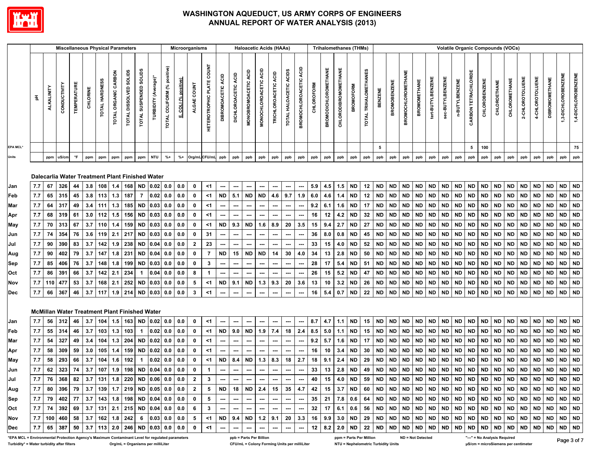

|                                                                                                 |     |                   | <b>Miscellaneous Physical Parameters</b>                                |                   |          |                |                      |                        |                        |                      |                                |                   | Microorganisms |                                  |                    |                               |                          | <b>Haloacetic Acids (HAAs)</b> |                          |                           |                          |            |                             | <b>Trihalomethanes (THMs)</b> |                  |                         |                |                     |                           |                     |                   |                  |                |                      |                      | <b>Volatile Organic Compounds (VOCs)</b> |               |                 |                 |                       |                     |                     |
|-------------------------------------------------------------------------------------------------|-----|-------------------|-------------------------------------------------------------------------|-------------------|----------|----------------|----------------------|------------------------|------------------------|----------------------|--------------------------------|-------------------|----------------|----------------------------------|--------------------|-------------------------------|--------------------------|--------------------------------|--------------------------|---------------------------|--------------------------|------------|-----------------------------|-------------------------------|------------------|-------------------------|----------------|---------------------|---------------------------|---------------------|-------------------|------------------|----------------|----------------------|----------------------|------------------------------------------|---------------|-----------------|-----------------|-----------------------|---------------------|---------------------|
|                                                                                                 | 품   | <b>ALKALINITY</b> | CONDUCTIVITY                                                            | <b>TEMPERATUR</b> | CHLORINE | TOTAL HARDNESS | TOTAL ORGANIC CARBON | TOTAL DISSOLVED SOLIDS | TOTAL SUSPENDED SOLIDS | TURBIDITY (Average)* | positive)<br>TOTAL COLIFORM (% | COLI (% positive) | ALGAE COUNT    | <b>HETEROTROPHIC PLATE COUNT</b> | DIBROMOACETIC ACID | ACID<br><b>DICHLOROACETIC</b> | MONOBROMOACETIC ACID     | MONOCHLOROACETIC ACID          | TRICHLOROACETIC ACID     | ACIDS<br>TOTAL HALOACETIC | BROMOCHLOROACETIC ACID   | CHLOROFORM | <b>BROMODICHLOROMETHANE</b> | CHLORODIBROMOMETHANE          | <b>BROMOFORM</b> | TOTAL TRIHALOMETHANES   | <b>BENZENE</b> | <b>BROMOBENZENE</b> | <b>BROMOCHLOROMETHANE</b> | <b>BROMOMETHANE</b> | tert-BUTYLBENZENE | sec-BUTYLBENZENE | n-BUTYLBENZENE | CARBON TETRACHLORIDE | <b>CHLOROBENZENE</b> | CHLOROETHANE                             | CHLOROMETHANE | 2-CHLOROTOLUENE | 4-CHLOROTOLUENE | <b>DIBROMOMETHANE</b> | 1,3-DICHLOROBENZENE | 1,4-DICHLOROBENZENE |
| EPA MCL'                                                                                        |     |                   |                                                                         |                   |          |                |                      |                        |                        |                      |                                |                   |                |                                  |                    |                               |                          |                                |                          |                           |                          |            |                             |                               |                  |                         | 5              |                     |                           |                     |                   |                  |                | 5                    | 100                  |                                          |               |                 |                 |                       |                     | 75                  |
| Units                                                                                           |     | ppm               | uS/cm                                                                   | $\mathsf{P}$      | ppm      | ppm            | ppm                  | ppm                    | ppm                    | <b>NTU</b>           | $% +$                          | $% +$             | Org/mLCFU/mL   |                                  | ppb                | ppb                           | ppb                      | ppb                            | ppb                      | ppb                       | ppb                      | ppb        | ppb                         | ppb                           | ppb              | ppb                     | ppb            | ppb                 | ppb                       | ppb                 | ppb               | ppb              | ppb            | ppb                  | ppb                  | ppb                                      | ppb           | ppb             | ppb             | ppb                   | ppb                 | ppb                 |
|                                                                                                 |     |                   | Dalecarlia Water Treatment Plant Finished Water                         |                   |          |                |                      |                        |                        |                      |                                |                   |                |                                  |                    |                               |                          |                                |                          |                           |                          |            |                             |                               |                  |                         |                |                     |                           |                     |                   |                  |                |                      |                      |                                          |               |                 |                 |                       |                     |                     |
| Jan                                                                                             | 7.7 | 67                | 326                                                                     | 44                | 3.8      | 108            | 1.4                  | 168                    | <b>ND</b>              | 0.02                 | 0.0                            | 0.0               | 0              | <1                               | ---                | ---                           | ---                      | ---                            | ---                      | ---                       | $\hspace{0.05cm} \cdots$ | 5.9        | 4.5                         | 1.5                           | <b>ND</b>        | 12                      | <b>ND</b>      | <b>ND</b>           | <b>ND</b>                 | <b>ND</b>           | <b>ND</b>         | <b>ND</b>        | <b>ND</b>      | <b>ND</b>            | $\sf ND$             | <b>ND</b>                                | <b>ND</b>     | <b>ND</b>       | <b>ND</b>       | ND                    | <b>ND</b>           | <b>ND</b>           |
| Feb                                                                                             | 7.7 | 65                | 315                                                                     | 45                | 3.8      | 113            | 1.3                  | 187                    | 7                      | 0.02                 | 0.0                            | 0.0               | $\mathbf 0$    | <1                               | <b>ND</b>          | 5.1                           | <b>ND</b>                | <b>ND</b>                      | 4.6                      | 9.7                       | 1.9                      | 6.0        | 4.6                         | 1.4                           | <b>ND</b>        | 12                      | <b>ND</b>      | ND                  | <b>ND</b>                 | <b>ND</b>           | <b>ND</b>         | <b>ND</b>        | <b>ND</b>      | <b>ND</b>            | <b>ND</b>            | <b>ND</b>                                | <b>ND</b>     | <b>ND</b>       | <b>ND</b>       | <b>ND</b>             | <b>ND</b>           | <b>ND</b>           |
| Mar                                                                                             | 7.7 | 64                | 317                                                                     | 49                | 3.4      | 111            | 1.3                  | 185                    | <b>ND</b>              | 0.03                 | 0.0                            | 0.0               | 0              | <1                               |                    | ---                           | ---                      | …                              | ---                      | ---                       |                          | 9.2        | 6.1                         | 1.6                           | <b>ND</b>        | 17                      | <b>ND</b>      | <b>ND</b>           | <b>ND</b>                 | <b>ND</b>           | <b>ND</b>         | <b>ND</b>        | <b>ND</b>      | ND                   | <b>ND</b>            | <b>ND</b>                                | <b>ND</b>     | <b>ND</b>       | <b>ND</b>       | <b>ND</b>             | <b>ND</b>           | <b>ND</b>           |
| Apr                                                                                             | 7.7 | 68                | 319                                                                     | 61                | 3.0      | 112            | 1.5                  | 156                    | <b>ND</b>              | 0.03                 | 0.0                            | 0.0               | $\mathbf 0$    | <1                               | ---                | ---                           | ---                      | ---                            | ---                      | ---                       | $\hspace{0.05cm} \cdots$ | 16         | 12                          | 4.2                           | ND               | 32                      | <b>ND</b>      | ND                  | <b>ND</b>                 | <b>ND</b>           | <b>ND</b>         | <b>ND</b>        | <b>ND</b>      | <b>ND</b>            | ND                   | <b>ND</b>                                | <b>ND</b>     | <b>ND</b>       | <b>ND</b>       | <b>ND</b>             | <b>ND</b>           | <b>ND</b>           |
| May                                                                                             | 7.7 | 70                | 313                                                                     | 67                | 3.7      | 110            | 1.4                  | 159                    | <b>ND</b>              | 0.03                 | 0.0                            | 0.0               | $\mathbf 0$    | <1                               | ND                 | 9.3                           | <b>ND</b>                | 1.6                            | 8.9                      | 20                        | 3.5                      | 15         | 9.4                         | 2.7                           | <b>ND</b>        | 27                      | <b>ND</b>      | ND                  | <b>ND</b>                 | <b>ND</b>           | <b>ND</b>         | <b>ND</b>        | <b>ND</b>      | <b>ND</b>            | <b>ND</b>            | <b>ND</b>                                | <b>ND</b>     | <b>ND</b>       | <b>ND</b>       | <b>ND</b>             | $\sf ND$            | <b>ND</b>           |
| Jun                                                                                             | 7.7 | 74                | 354                                                                     | 76                | 3.6      | 119            |                      | $2.1$ 217              | <b>ND</b>              | 0.03                 | 0.0                            | 0.0               | $\mathbf 0$    | 31                               |                    |                               | ---                      | ---                            | $\overline{\phantom{a}}$ | ---                       | $\hspace{0.05cm} \cdots$ | 36         | 8.0                         | 0.8                           | <b>ND</b>        | 45                      | <b>ND</b>      | ND                  | <b>ND</b>                 | <b>ND</b>           | <b>ND</b>         | <b>ND</b>        | <b>ND</b>      | ND                   | <b>ND</b>            | <b>ND</b>                                | <b>ND</b>     | <b>ND</b>       | <b>ND</b>       | <b>ND</b>             | <b>ND</b>           | <b>ND</b>           |
| Jul                                                                                             | 7.7 | 90                | 390                                                                     | 83                | 3.7      | 142            | 1.9                  | 238                    | <b>ND</b>              | 0.04                 | 0.0                            | 0.0               | $\mathbf{2}$   | 23                               | ---                |                               |                          | ---                            |                          | ---                       | $\hspace{0.05cm} \cdots$ | 33         | 15                          | 4.0                           | <b>ND</b>        | 52                      | <b>ND</b>      | <b>ND</b>           | <b>ND</b>                 | <b>ND</b>           | <b>ND</b>         | <b>ND</b>        | <b>ND</b>      | <b>ND</b>            | <b>ND</b>            | <b>ND</b>                                | <b>ND</b>     | <b>ND</b>       | <b>ND</b>       | <b>ND</b>             | <b>ND</b>           | <b>ND</b>           |
| Aug                                                                                             | 7.7 | 90                | 402                                                                     | 79                | 3.7      | 147            | 1.8                  | 231                    | <b>ND</b>              | 0.04                 | 0.0                            | 0.0               | $\mathbf 0$    | $\overline{7}$                   | ND                 | 15                            | <b>ND</b>                | <b>ND</b>                      | 14                       | 30                        | 4.0                      | 34         | 13                          | 2.8                           | <b>ND</b>        | 50                      | <b>ND</b>      | <b>ND</b>           | <b>ND</b>                 | <b>ND</b>           | <b>ND</b>         | <b>ND</b>        | <b>ND</b>      | <b>ND</b>            | <b>ND</b>            | <b>ND</b>                                | <b>ND</b>     | <b>ND</b>       | <b>ND</b>       | <b>ND</b>             | <b>ND</b>           | <b>ND</b>           |
| Sep                                                                                             | 7.7 | 85                | 406                                                                     | 76                | 3.7      | 148            | 1.8                  | 199                    | <b>ND</b>              | 0.03                 | 0.0                            | 0.0               | 0              | $\mathbf{3}$                     | ---                | ---                           | $\hspace{0.05cm} \cdots$ |                                | $\overline{\phantom{a}}$ | ---                       | $\overline{\phantom{a}}$ | 28         | 17                          | 5.4                           | <b>ND</b>        | 51                      | <b>ND</b>      | <b>ND</b>           | <b>ND</b>                 | <b>ND</b>           | <b>ND</b>         | <b>ND</b>        | <b>ND</b>      | <b>ND</b>            | <b>ND</b>            | <b>ND</b>                                | <b>ND</b>     | <b>ND</b>       | <b>ND</b>       | <b>ND</b>             | <b>ND</b>           | <b>ND</b>           |
| Oct                                                                                             | 7.7 | 86                | 391                                                                     | 66                | 3.7      | 142            | 2.1                  | 234                    | 1                      | 0.04                 | 0.0                            | 0.0               | 8              | $\mathbf 1$                      | ---                |                               | ---                      | ---                            | ---                      | $\hspace{0.05cm} \cdots$  | $\hspace{0.05cm} \cdots$ | 26         | 15                          | 5.2                           | <b>ND</b>        | 47                      | <b>ND</b>      | <b>ND</b>           | <b>ND</b>                 | <b>ND</b>           | <b>ND</b>         | <b>ND</b>        | <b>ND</b>      | <b>ND</b>            | <b>ND</b>            | <b>ND</b>                                | <b>ND</b>     | <b>ND</b>       | <b>ND</b>       | <b>ND</b>             | <b>ND</b>           | <b>ND</b>           |
| Nov                                                                                             | 7.7 | 110               | 477                                                                     | 53                | 3.7      | 168            | 2.1                  | 252                    | <b>ND</b>              | 0.03                 | 0.0                            | 0.0               | 5              | <1                               | <b>ND</b>          | 9.1                           | <b>ND</b>                | 1.3                            | 9.3                      | 20                        | 3.6                      | 13         | 10                          | 3.2                           | <b>ND</b>        | 26                      | <b>ND</b>      | ND                  | <b>ND</b>                 | <b>ND</b>           | <b>ND</b>         | <b>ND</b>        | <b>ND</b>      | <b>ND</b>            | <b>ND</b>            | <b>ND</b>                                | <b>ND</b>     | <b>ND</b>       | <b>ND</b>       | <b>ND</b>             | <b>ND</b>           | <b>ND</b>           |
| <b>Dec</b>                                                                                      | 7.7 | 66                | 367                                                                     | 46                | 3.7      | 117            | 1.9                  | 214                    | <b>ND</b>              | 0.03                 | 0.0                            | 0.0               | $\mathbf{3}$   | <1                               | ---                | ---                           | ---                      | ⊷                              | ---                      | ---                       | $\hspace{0.05cm} \cdots$ | 16         | 5.4                         | 0.7                           | <b>ND</b>        | ${\bf 22}$              | <b>ND</b>      | <b>ND</b>           | <b>ND</b>                 | <b>ND</b>           | <b>ND</b>         | <b>ND</b>        | <b>ND</b>      | <b>ND</b>            | <b>ND</b>            | <b>ND</b>                                | <b>ND</b>     | <b>ND</b>       | <b>ND</b>       | <b>ND</b>             | <b>ND</b>           | <b>ND</b>           |
|                                                                                                 |     |                   | McMillan Water Treatment Plant Finished Water                           |                   |          |                |                      |                        |                        |                      |                                |                   |                |                                  |                    |                               |                          |                                |                          |                           |                          |            |                             |                               |                  |                         |                |                     |                           |                     |                   |                  |                |                      |                      |                                          |               |                 |                 |                       |                     |                     |
| Jan                                                                                             | 7.7 | 56                | 312                                                                     | 46                | 3.7      | 104            | 1.5                  | 163                    | <b>ND</b>              | 0.02                 | 0.0                            | 0.0               | 0              | <1                               | ---                |                               |                          | ---                            | ---                      | ---                       |                          | 8.7        | 4.7                         | 1.1                           | <b>ND</b>        | 15                      | <b>ND</b>      | ND                  | <b>ND</b>                 | <b>ND</b>           | <b>ND</b>         | <b>ND</b>        | <b>ND</b>      | <b>ND</b>            | <b>ND</b>            | <b>ND</b>                                | <b>ND</b>     | <b>ND</b>       | <b>ND</b>       | <b>ND</b>             | <b>ND</b>           | <b>ND</b>           |
| Feb                                                                                             | 7.7 | 55                | 314                                                                     | 46                | 3.7      | 103            | 1.3                  | 103                    | $\mathbf{1}$           | 0.02                 | 0.0                            | 0.0               | $\mathbf 0$    | $<$ 1                            | <b>ND</b>          | 9.0                           | <b>ND</b>                | 1.9                            | 7.4                      | 18                        | 2.4                      | 8.5        | 5.0                         | 1.1                           | <b>ND</b>        | 15                      | <b>ND</b>      | <b>ND</b>           | <b>ND</b>                 | <b>ND</b>           | <b>ND</b>         | <b>ND</b>        | <b>ND</b>      | <b>ND</b>            | <b>ND</b>            | <b>ND</b>                                | <b>ND</b>     | <b>ND</b>       | <b>ND</b>       | <b>ND</b>             | $\sf ND$            | <b>ND</b>           |
| Mar                                                                                             | 7.7 | 54                | 327                                                                     | 49                | 3.4      | 104            | 1.3                  | 204                    | <b>ND</b>              | 0.02                 | 0.0                            | 0.0               | 0              | <1                               | ---                |                               | ---                      | ---                            |                          | ---                       | $\hspace{0.05cm} \cdots$ | 9.2        | 5.7                         | 1.6                           | ND               | 17                      | <b>ND</b>      | <b>ND</b>           | <b>ND</b>                 | <b>ND</b>           | <b>ND</b>         | <b>ND</b>        | <b>ND</b>      | <b>ND</b>            | <b>ND</b>            | <b>ND</b>                                | <b>ND</b>     | <b>ND</b>       | <b>ND</b>       | <b>ND</b>             | <b>ND</b>           | <b>ND</b>           |
| Apr                                                                                             | 7.7 | 58                | 309                                                                     | 59                | 3.0      | 105            | 1.4                  | 159                    | <b>ND</b>              | 0.02                 | $0.0\,$                        | 0.0               | $\mathbf 0$    | <1                               |                    |                               |                          |                                |                          |                           |                          | 16         | 10                          | 3.4                           | <b>ND</b>        | 30                      | <b>ND</b>      | ND                  | <b>ND</b>                 | <b>ND</b>           | <b>ND</b>         | <b>ND</b>        | <b>ND</b>      | <b>ND</b>            | <b>ND</b>            | <b>ND</b>                                | <b>ND</b>     | <b>ND</b>       | <b>ND</b>       | <b>ND</b>             | <b>ND</b>           | <b>ND</b>           |
| May                                                                                             | 7.7 | 58                | 293                                                                     | 66                | 3.7      | 104            | 1.6                  | 192                    | $\mathbf{1}$           | 0.02                 | 0.0                            | 0.0               | $\mathbf 0$    | $<$ 1                            | <b>ND</b>          | 8.4                           | <b>ND</b>                |                                | $1.3$ 8.3                | 18                        | 2.7                      | 18         | 9.1                         | 2.4                           | <b>ND</b>        | 29                      | <b>ND</b>      | <b>ND</b>           | <b>ND</b>                 | <b>ND</b>           | <b>ND</b>         | <b>ND</b>        | <b>ND</b>      | ND                   | <b>ND</b>            | <b>ND</b>                                | <b>ND</b>     | <b>ND</b>       | ND              | <b>ND</b>             | <b>ND</b>           | <b>ND</b>           |
| Jun                                                                                             | 7.7 | 62                | 323                                                                     | 74                | 3.7      | 107            | 1.9                  | 198 ND                 |                        | 0.04                 | 0.0                            | 0.0               | $\mathbf 0$    | $\mathbf{1}$                     | ---                | ---                           | ---                      | ---                            | $\overline{\phantom{a}}$ | ---                       | $\hspace{0.05cm} \cdots$ | 33         | 13                          | $\bf 2.8$                     | <b>ND</b>        | 49                      | <b>ND</b>      | <b>ND</b>           | <b>ND</b>                 | <b>ND</b>           | <b>ND</b>         | <b>ND</b>        | <b>ND</b>      | <b>ND</b>            | <b>ND</b>            | <b>ND</b>                                | <b>ND</b>     | <b>ND</b>       | <b>ND</b>       | <b>ND</b>             | <b>ND</b>           | <b>ND</b>           |
| Jul                                                                                             |     |                   | 7.7   76   368   82   3.7   131   1.8   220   ND   0.06   0.0   0.0     |                   |          |                |                      |                        |                        |                      |                                |                   | $\mathbf{z}$   | 3                                |                    |                               |                          |                                |                          | $\sim$                    |                          |            |                             |                               |                  |                         |                |                     |                           |                     |                   |                  |                |                      |                      |                                          |               |                 |                 |                       |                     |                     |
| Aug                                                                                             |     |                   | 7.7   80   396   79   3.7   139   1.7   219   ND   0.05   0.0   0.0   2 |                   |          |                |                      |                        |                        |                      |                                |                   |                |                                  |                    |                               |                          |                                |                          |                           |                          |            |                             |                               |                  |                         |                |                     |                           |                     |                   |                  |                |                      |                      |                                          |               |                 |                 |                       |                     |                     |
| Sep                                                                                             |     |                   | 7.7   79   402   77   3.7   143   1.8   198   ND   0.04   0.0   0.0   0 |                   |          |                |                      |                        |                        |                      |                                |                   |                | 5 <sub>5</sub>                   |                    | $\sim$ $\sim$ $\sim$          | $\sim$                   | $\sim$                         | $\sim$                   |                           | المسارا للسار            |            |                             |                               |                  |                         |                |                     |                           |                     |                   |                  |                |                      |                      |                                          |               |                 |                 |                       |                     |                     |
| Oct                                                                                             |     |                   | 7.7 74 392 69 3.7 131 2.1 215 ND 0.04 0.0 0.0 6                         |                   |          |                |                      |                        |                        |                      |                                |                   |                | 3 <sup>1</sup>                   |                    | $\frac{1}{2}$                 | $\sim$ $\sim$            |                                |                          |                           |                          |            |                             |                               |                  |                         |                |                     |                           |                     |                   |                  |                |                      |                      |                                          |               |                 |                 |                       |                     |                     |
| <b>Nov</b>                                                                                      |     |                   | 7.7   100   460   58   3.7   162   1.8   242   6   0.03   0.0   0.0   5 |                   |          |                |                      |                        |                        |                      |                                |                   |                |                                  |                    |                               |                          |                                |                          |                           |                          |            |                             |                               |                  |                         |                |                     |                           |                     |                   |                  |                |                      |                      |                                          |               |                 |                 |                       |                     |                     |
| Dec                                                                                             |     |                   | 7.7 65 387 50 3.7 113 2.0 246 ND 0.03 0.0 0.0 0                         |                   |          |                |                      |                        |                        |                      |                                |                   |                | <1                               | $\cdots$           | $\sim$                        | $\sim$                   | $\sim$                         | $\sim$                   | $\cdots$                  | $\sim$                   |            |                             |                               |                  |                         |                |                     |                           |                     |                   |                  |                |                      |                      |                                          |               |                 |                 |                       |                     |                     |
| *EPA MCL = Environmental Protection Agency's Maximum Contaminant Level for regulated parameters |     |                   |                                                                         |                   |          |                |                      |                        |                        |                      |                                |                   |                |                                  |                    | ppb = Parts Per Billion       |                          |                                |                          |                           |                          |            |                             |                               |                  | ppm = Parts Per Million |                |                     |                           | ND = Not Detected   |                   |                  |                |                      |                      | "---" = No Analysis Required             |               |                 |                 |                       |                     | Dogo 2 of 7         |

**ND = Not Detected**

Page 3 of 7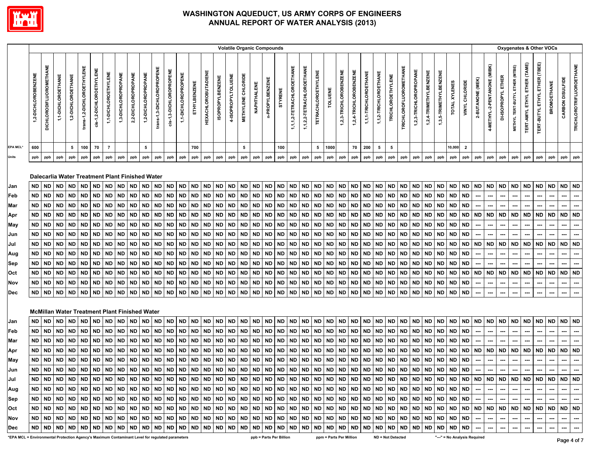

|                                                                                                 |                     |                         |                    |                    |                            |                          |                      |                                                      |                     |                     |                           |                         |                     |              |                            |                         |                    |                           |             | <b>Volatile Organic Compounds</b> |           |                           |                           |                            |                         |                        |                        |                       |                       |                          |                        |                        |                        |                        |               |                              |                          |                             |                                                                                                                                                                                                                             | Oxygenates & Other VOCs        |                                     |                               |                          |                  |                                 |
|-------------------------------------------------------------------------------------------------|---------------------|-------------------------|--------------------|--------------------|----------------------------|--------------------------|----------------------|------------------------------------------------------|---------------------|---------------------|---------------------------|-------------------------|---------------------|--------------|----------------------------|-------------------------|--------------------|---------------------------|-------------|-----------------------------------|-----------|---------------------------|---------------------------|----------------------------|-------------------------|------------------------|------------------------|-----------------------|-----------------------|--------------------------|------------------------|------------------------|------------------------|------------------------|---------------|------------------------------|--------------------------|-----------------------------|-----------------------------------------------------------------------------------------------------------------------------------------------------------------------------------------------------------------------------|--------------------------------|-------------------------------------|-------------------------------|--------------------------|------------------|---------------------------------|
|                                                                                                 | 1,2-DICHLOROBENZENE | DICHLORODIFLUOROMETHANE | 1,1-DICHLOROETHANE | 1,2-DICHLOROETHANE | trans-1,2-DICHLOROETHYLENE | cis-1,2-DICHLOROETHYLENE | 1,1-DICHLOROETHYLENE | 1,3-DICHLOROPROPANE                                  | 2,2-DICHLOROPROPANE | 1,2-DICHLOROPROPANE | trans-1,3-DICHLOROPROPENE | cis-1,3-DICHLOROPROPENE | 1,1-DICHLOROPROPENE | ETHYLBENZENE | <b>HEXACHLOROBUTADIENE</b> | <b>ISOPROPYLBENZENE</b> | 4-ISOPROPYLTOLUENE | <b>METHYLENE CHLORIDE</b> | NAPHTHALENE | n-PROPYLBENZENE                   | STYRENE   | 1,1,1,2-TETRACHLOROETHANE | 1,1,2,2-TETRACHLOROETHANE | <b>TETRACHLOROETHYLENE</b> | TOLUENE                 | 1,2,3-TRICHLOROBENZENE | 1,2,4-TRICHLOROBENZENE | 1,1,1-TRICHLOROETHANE | 1,1,2-TRICHLOROETHANE | <b>TRICHLOROETHYLENE</b> | TRICHLOROFLUOROMETHANE | 1,2,3-TRICHLOROPROPANE | 1,2,4-TRIMETHYLBENZENE | 1,3,5-TRIMETHYLBENZENE | TOTAL XYLENES | VINYL CHLORIDE               | 2-BUTANONE (MEK)         | 4-METHYL-2-PENTANONE (MIBK) | DI-ISOPROPYL ETHER                                                                                                                                                                                                          | METHYL TERT-BUTYL ETHER (MTBE) | <b>TERT-AMYL ETHYL ETHER (TAME)</b> | TERT-BUTYL ETHYL ETHER (TBEE) | <b>BROMOETHANE</b>       | CARBON DISULFIDE | <b>TRICHLOROTRIFLUOROETHANE</b> |
| <b>EPA MCL*</b>                                                                                 | 600                 |                         |                    | 5                  | 100                        | 70                       | $\overline{7}$       |                                                      |                     | 5                   |                           |                         |                     | 700          |                            |                         |                    | 5                         |             |                                   | 100       |                           |                           | $5^{\circ}$                | 1000                    |                        | 70                     | 200                   | 5                     | 5                        |                        |                        |                        |                        | 10,000        | $\overline{2}$               |                          |                             |                                                                                                                                                                                                                             |                                |                                     |                               |                          |                  |                                 |
| Units                                                                                           | ppb                 | ppb                     | ppb                | ppb                | ppb                        | ppb                      | ppb                  | ppb                                                  | ppb                 | ppb                 | ppb                       | ppb                     | ppb                 | ppb          | ppb                        | ppb                     | ppb                | ppb                       | ppb         | ppb                               | ppb       | ppb                       | ppb                       | ppb                        | ppb                     | ${\sf ppb}$            | ppb                    | ppb                   | ppb                   | ppb                      | ppb                    | ppb                    | ppb                    | ppb                    | ppb           | ppb                          | ppb                      | ppb                         | ppb                                                                                                                                                                                                                         | ppb                            | ppb                                 | ppb                           | ppb                      | ppb              | ppb                             |
|                                                                                                 |                     |                         |                    |                    |                            |                          |                      | Dalecarlia Water Treatment Plant Finished Water      |                     |                     |                           |                         |                     |              |                            |                         |                    |                           |             |                                   |           |                           |                           |                            |                         |                        |                        |                       |                       |                          |                        |                        |                        |                        |               |                              |                          |                             |                                                                                                                                                                                                                             |                                |                                     |                               |                          |                  |                                 |
| Jan                                                                                             | ND                  | ND                      | <b>ND</b>          | <b>ND</b>          | ND                         | <b>ND</b>                | <b>ND</b>            | <b>ND</b>                                            | <b>ND</b>           | ND                  | <b>ND</b>                 | <b>ND</b>               | <b>ND</b>           | <b>ND</b>    | <b>ND</b>                  | <b>ND</b>               | <b>ND</b>          | ND                        | <b>ND</b>   | ND                                | <b>ND</b> | <b>ND</b>                 | ND                        | ND                         | <b>ND</b>               | <b>ND</b>              | ND                     | ND                    | <b>ND</b>             | <b>ND</b>                | <b>ND</b>              | ND                     | ND                     | <b>ND</b>              | <b>ND</b>     | <b>ND</b>                    | <b>ND</b>                | <b>ND</b>                   | <b>ND</b>                                                                                                                                                                                                                   | ND ND                          |                                     | <b>ND</b>                     | ND                       | ND ND            |                                 |
| Feb                                                                                             | <b>ND</b>           | <b>ND</b>               | <b>ND</b>          | <b>ND</b>          | <b>ND</b>                  | <b>ND</b>                | ND.                  | <b>ND</b>                                            | <b>ND</b>           | <b>ND</b>           | <b>ND</b>                 | <b>ND</b>               | <b>ND</b>           | <b>ND</b>    | <b>ND</b>                  | <b>ND</b>               | ND                 | ND.                       | <b>ND</b>   | <b>ND</b>                         | <b>ND</b> | <b>ND</b>                 | ND                        | <b>ND</b>                  | <b>ND</b>               | <b>ND</b>              | ND                     | <b>ND</b>             | <b>ND</b>             | <b>ND</b>                | <b>ND</b>              | <b>ND</b>              | <b>ND</b>              | <b>ND</b>              | <b>ND</b>     | <b>ND</b>                    |                          |                             |                                                                                                                                                                                                                             |                                |                                     |                               |                          |                  |                                 |
| Mar                                                                                             | ND                  | <b>ND</b>               | <b>ND</b>          | <b>ND</b>          | ND                         | <b>ND</b>                | <b>ND</b>            | <b>ND</b>                                            | ND                  | ND                  | ND                        | <b>ND</b>               | <b>ND</b>           | ND           | <b>ND</b>                  | <b>ND</b>               | <b>ND</b>          | ND                        | ND          | <b>ND</b>                         | <b>ND</b> | ND                        | ND                        | ND                         | <b>ND</b>               | <b>ND</b>              | ND                     | <b>ND</b>             | ND                    | <b>ND</b>                | <b>ND</b>              | ND                     | <b>ND</b>              | <b>ND</b>              | <b>ND</b>     | <b>ND</b>                    |                          |                             |                                                                                                                                                                                                                             |                                |                                     |                               |                          |                  |                                 |
| Apr                                                                                             | <b>ND</b>           | <b>ND</b>               | <b>ND</b>          | ND                 | ND                         | <b>ND</b>                | <b>ND</b>            | <b>ND</b>                                            | ND                  | <b>ND</b>           | <b>ND</b>                 | <b>ND</b>               | <b>ND</b>           | ND           | <b>ND</b>                  | <b>ND</b>               | <b>ND</b>          | ND                        | <b>ND</b>   | <b>ND</b>                         | <b>ND</b> | ND                        | <b>ND</b>                 | <b>ND</b>                  | <b>ND</b>               | <b>ND</b>              | ND                     | <b>ND</b>             | ND                    | <b>ND</b>                | <b>ND</b>              | ND                     | <b>ND</b>              | <b>ND</b>              | <b>ND</b>     | <b>ND</b>                    | <b>ND</b>                | <b>ND</b>                   | <b>ND</b>                                                                                                                                                                                                                   | <b>ND</b>                      | <b>ND</b>                           | <b>ND</b>                     | <b>ND</b>                | <b>ND</b>        | <b>ND</b>                       |
| May                                                                                             | ND                  | ND                      | <b>ND</b>          | <b>ND</b>          | <b>ND</b>                  | <b>ND</b>                | ND                   | <b>ND</b>                                            | <b>ND</b>           | <b>ND</b>           | <b>ND</b>                 | ND                      | <b>ND</b>           | <b>ND</b>    | <b>ND</b>                  | <b>ND</b>               | ND                 | <b>ND</b>                 | <b>ND</b>   | <b>ND</b>                         | <b>ND</b> | ND                        | <b>ND</b>                 | <b>ND</b>                  | <b>ND</b>               | <b>ND</b>              | ND                     | <b>ND</b>             | <b>ND</b>             | <b>ND</b>                | <b>ND</b>              | ND                     | <b>ND</b>              | <b>ND</b>              | <b>ND</b>     | <b>ND</b>                    |                          |                             |                                                                                                                                                                                                                             |                                |                                     |                               |                          |                  |                                 |
| Jun                                                                                             | ND                  | <b>ND</b>               | <b>ND</b>          | <b>ND</b>          | <b>ND</b>                  | <b>ND</b>                | <b>ND</b>            | ND                                                   | ND                  | <b>ND</b>           | ND                        | <b>ND</b>               | ND                  | <b>ND</b>    | ND                         | <b>ND</b>               | ND                 | ND                        | <b>ND</b>   | <b>ND</b>                         | <b>ND</b> | ND                        | <b>ND</b>                 | <b>ND</b>                  | <b>ND</b>               | <b>ND</b>              | ND                     | ND                    | <b>ND</b>             | <b>ND</b>                | <b>ND</b>              | ND                     | ND                     | <b>ND</b>              | <b>ND</b>     | <b>ND</b>                    |                          |                             |                                                                                                                                                                                                                             |                                |                                     |                               |                          |                  |                                 |
| Jul                                                                                             | <b>ND</b>           | <b>ND</b>               | <b>ND</b>          | <b>ND</b>          | <b>ND</b>                  | <b>ND</b>                | ND                   | <b>ND</b>                                            | ND                  | ND                  | <b>ND</b>                 | <b>ND</b>               | ND                  | <b>ND</b>    | <b>ND</b>                  | <b>ND</b>               | <b>ND</b>          | <b>ND</b>                 | <b>ND</b>   | <b>ND</b>                         | <b>ND</b> | ND                        | ND                        | <b>ND</b>                  | <b>ND</b>               | <b>ND</b>              | ND                     | ND                    | <b>ND</b>             | <b>ND</b>                | <b>ND</b>              | ND                     | <b>ND</b>              | <b>ND</b>              | <b>ND</b>     | <b>ND</b>                    | <b>ND</b>                | <b>ND</b>                   | <b>ND</b>                                                                                                                                                                                                                   | <b>ND</b>                      | ND                                  | <b>ND</b>                     | ND                       | <b>ND</b>        | <b>ND</b>                       |
| Aug                                                                                             | ND                  | <b>ND</b>               | <b>ND</b>          | <b>ND</b>          | ND                         | <b>ND</b>                | ND.                  | <b>ND</b>                                            | ND                  | <b>ND</b>           | <b>ND</b>                 | <b>ND</b>               | <b>ND</b>           | <b>ND</b>    | <b>ND</b>                  | <b>ND</b>               | <b>ND</b>          | ND.                       | <b>ND</b>   | <b>ND</b>                         | <b>ND</b> | <b>ND</b>                 | ND.                       | <b>ND</b>                  | <b>ND</b>               | <b>ND</b>              | ND                     | <b>ND</b>             | <b>ND</b>             | <b>ND</b>                | <b>ND</b>              | ND                     | <b>ND</b>              | <b>ND</b>              | <b>ND</b>     | <b>ND</b>                    |                          | ---                         |                                                                                                                                                                                                                             |                                |                                     |                               |                          |                  | …                               |
| Sep                                                                                             | ND                  | <b>ND</b>               | ND                 | ND                 | <b>ND</b>                  | <b>ND</b>                | <b>ND</b>            | ND                                                   | ND                  | ND                  | ND                        | <b>ND</b>               | ND                  | ND           | <b>ND</b>                  | <b>ND</b>               | <b>ND</b>          | <b>ND</b>                 | ND          | <b>ND</b>                         | <b>ND</b> | ND.                       | ND                        | ND.                        | <b>ND</b>               | <b>ND</b>              | <b>ND</b>              | ND                    | <b>ND</b>             | <b>ND</b>                | <b>ND</b>              | ND                     | <b>ND</b>              | <b>ND</b>              | <b>ND</b>     | <b>ND</b>                    |                          |                             |                                                                                                                                                                                                                             |                                |                                     |                               |                          |                  |                                 |
| Oct                                                                                             | <b>ND</b>           | <b>ND</b>               | <b>ND</b>          | <b>ND</b>          | ND                         | <b>ND</b>                | <b>ND</b>            | <b>ND</b>                                            | ND                  | <b>ND</b>           | <b>ND</b>                 | <b>ND</b>               | <b>ND</b>           | <b>ND</b>    | <b>ND</b>                  | <b>ND</b>               | <b>ND</b>          | <b>ND</b>                 | <b>ND</b>   | <b>ND</b>                         | <b>ND</b> | <b>ND</b>                 | <b>ND</b>                 | <b>ND</b>                  | <b>ND</b>               | <b>ND</b>              | ND                     | <b>ND</b>             | <b>ND</b>             | <b>ND</b>                | <b>ND</b>              | <b>ND</b>              | <b>ND</b>              | <b>ND</b>              | <b>ND</b>     | <b>ND</b>                    | <b>ND</b>                | <b>ND</b>                   | <b>ND</b>                                                                                                                                                                                                                   | <b>ND</b>                      | ND                                  | <b>ND</b>                     | <b>ND</b>                | <b>ND</b>        | <b>ND</b>                       |
| Nov                                                                                             | <b>ND</b>           | ND                      | <b>ND</b>          | ND                 | ND                         | <b>ND</b>                | ND                   | <b>ND</b>                                            | ND                  | <b>ND</b>           | <b>ND</b>                 | <b>ND</b>               | <b>ND</b>           | <b>ND</b>    | <b>ND</b>                  | <b>ND</b>               | <b>ND</b>          | ND.                       | ND          | <b>ND</b>                         | ND        | ND                        | ND                        | ND                         | <b>ND</b>               | <b>ND</b>              | ND                     | <b>ND</b>             | <b>ND</b>             | <b>ND</b>                | <b>ND</b>              | ND                     | <b>ND</b>              | <b>ND</b>              | <b>ND</b>     | <b>ND</b>                    |                          |                             | ---                                                                                                                                                                                                                         |                                | -−                                  |                               |                          |                  | ---                             |
| <b>Dec</b>                                                                                      | ND.                 | <b>ND</b>               | <b>ND</b>          | <b>ND</b>          | ND                         | <b>ND</b>                | <b>ND</b>            | <b>ND</b>                                            | <b>ND</b>           | <b>ND</b>           | ND I                      | <b>ND</b>               | <b>ND</b>           | <b>ND</b>    | <b>ND</b>                  | <b>ND</b>               | <b>ND</b>          | <b>ND</b>                 | <b>ND</b>   | <b>ND</b>                         | <b>ND</b> | <b>ND</b>                 | <b>ND</b>                 | <b>ND</b>                  | <b>ND</b>               | <b>ND</b>              | ND                     | <b>ND</b>             | <b>ND</b>             | <b>ND</b>                | <b>ND</b>              | ND                     | <b>ND</b>              | <b>ND</b>              | <b>ND</b>     | <b>ND</b>                    |                          |                             |                                                                                                                                                                                                                             |                                |                                     |                               |                          |                  |                                 |
|                                                                                                 |                     |                         |                    |                    |                            |                          |                      | <b>McMillan Water Treatment Plant Finished Water</b> |                     |                     |                           |                         |                     |              |                            |                         |                    |                           |             |                                   |           |                           |                           |                            |                         |                        |                        |                       |                       |                          |                        |                        |                        |                        |               |                              |                          |                             |                                                                                                                                                                                                                             |                                |                                     |                               |                          |                  |                                 |
| Jan                                                                                             | ND.                 | <b>ND</b>               | <b>ND</b>          | ND                 | <b>ND</b>                  | ND.                      | <b>ND</b>            | <b>ND</b>                                            | <b>ND</b>           | ND                  | ND                        | <b>ND</b>               | <b>ND</b>           | ND           | <b>ND</b>                  | <b>ND</b>               | <b>ND</b>          | ND.                       | <b>ND</b>   | <b>ND</b>                         | <b>ND</b> | <b>ND</b>                 | ND                        | ND                         | ND                      | ND                     | ND                     | ND                    | <b>ND</b>             | <b>ND</b>                | ND                     | ND                     | ND                     | <b>ND</b>              | <b>ND</b>     | <b>ND</b>                    | <b>ND</b>                | <b>ND</b>                   | <b>ND</b>                                                                                                                                                                                                                   | <b>ND</b>                      | <b>ND</b>                           | <b>ND</b>                     | ND                       | <b>ND</b>        | <b>ND</b>                       |
| Feb                                                                                             | <b>ND</b>           | <b>ND</b>               | <b>ND</b>          | <b>ND</b>          | <b>ND</b>                  | <b>ND</b>                | <b>ND</b>            | <b>ND</b>                                            | ND                  | <b>ND</b>           | <b>ND</b>                 | <b>ND</b>               | <b>ND</b>           | <b>ND</b>    | <b>ND</b>                  | <b>ND</b>               | <b>ND</b>          | <b>ND</b>                 | <b>ND</b>   | <b>ND</b>                         | <b>ND</b> | <b>ND</b>                 | <b>ND</b>                 | <b>ND</b>                  | <b>ND</b>               | <b>ND</b>              | <b>ND</b>              | <b>ND</b>             | <b>ND</b>             | <b>ND</b>                | <b>ND</b>              | <b>ND</b>              | <b>ND</b>              | <b>ND</b>              | <b>ND</b>     | <b>ND</b>                    |                          | ---                         | ---                                                                                                                                                                                                                         | ---                            | ---                                 | ---                           | ---                      | ---              | …                               |
| Mar                                                                                             | <b>ND</b>           | ND                      | <b>ND</b>          | <b>ND</b>          | ND                         | <b>ND</b>                | ND                   | <b>ND</b>                                            | <b>ND</b>           | <b>ND</b>           | <b>ND</b>                 | <b>ND</b>               | <b>ND</b>           | ND           | <b>ND</b>                  | <b>ND</b>               | <b>ND</b>          | ND.                       | ND          | <b>ND</b>                         | <b>ND</b> | ND                        | <b>ND</b>                 | ND.                        | <b>ND</b>               | <b>ND</b>              | ND                     | <b>ND</b>             | <b>ND</b>             | <b>ND</b>                | <b>ND</b>              | ND                     | <b>ND</b>              | <b>ND</b>              | <b>ND</b>     | <b>ND</b>                    |                          |                             |                                                                                                                                                                                                                             |                                |                                     |                               |                          |                  |                                 |
| Apr                                                                                             | ND                  | <b>ND</b>               | <b>ND</b>          | ND                 | <b>ND</b>                  | <b>ND</b>                | ND                   | <b>ND</b>                                            | ND                  | <b>ND</b>           | <b>ND</b>                 | ND                      | <b>ND</b>           | ND           | ND                         | <b>ND</b>               | ND                 | <b>ND</b>                 | ND          | <b>ND</b>                         | <b>ND</b> | ND                        | <b>ND</b>                 | ND                         | <b>ND</b>               | <b>ND</b>              | ND                     | ND                    | <b>ND</b>             | <b>ND</b>                | <b>ND</b>              | ND                     | ND                     | <b>ND</b>              | <b>ND</b>     | <b>ND</b>                    | ND                       | <b>ND</b>                   | ND                                                                                                                                                                                                                          | <b>ND</b>                      | <b>ND</b>                           | ND                            | ND                       | <b>ND</b>        | <b>ND</b>                       |
| May                                                                                             | <b>ND</b>           | <b>ND</b>               | <b>ND</b>          | <b>ND</b>          | ND                         | <b>ND</b>                | <b>ND</b>            | <b>ND</b>                                            | <b>ND</b>           | <b>ND</b>           | <b>ND</b>                 | <b>ND</b>               | <b>ND</b>           | <b>ND</b>    | <b>ND</b>                  | <b>ND</b>               | <b>ND</b>          | <b>ND</b>                 | <b>ND</b>   | <b>ND</b>                         | <b>ND</b> | ND                        | <b>ND</b>                 | <b>ND</b>                  | <b>ND</b>               | <b>ND</b>              | ND                     | <b>ND</b>             | <b>ND</b>             | <b>ND</b>                | <b>ND</b>              | ND                     | <b>ND</b>              | <b>ND</b>              | <b>ND</b>     | <b>ND</b>                    |                          |                             | ---                                                                                                                                                                                                                         |                                |                                     | ---                           |                          |                  | ---                             |
| Jun                                                                                             | ND.                 | <b>ND</b>               | <b>ND</b>          | <b>ND</b>          | ND                         | <b>ND</b>                | <b>ND</b>            | <b>ND</b>                                            | <b>ND</b>           | <b>ND</b>           | <b>ND</b>                 | <b>ND</b>               | <b>ND</b>           | ND           | <b>ND</b>                  | <b>ND</b>               | <b>ND</b>          | <b>ND</b>                 | <b>ND</b>   | <b>ND</b>                         | <b>ND</b> | <b>ND</b>                 | ND                        | ND                         | <b>ND</b>               | <b>ND</b>              | ND                     | <b>ND</b>             | <b>ND</b>             | <b>ND</b>                | <b>ND</b>              | ND                     | <b>ND</b>              | <b>ND</b>              | ND            | <b>ND</b>                    | ---                      | ---                         | ---                                                                                                                                                                                                                         | ---                            | ---                                 | ---                           |                          |                  |                                 |
| Jul                                                                                             |                     |                         |                    |                    |                            |                          |                      |                                                      |                     |                     |                           |                         |                     |              |                            |                         |                    |                           |             |                                   |           |                           |                           |                            |                         |                        |                        |                       |                       |                          |                        |                        |                        |                        |               |                              |                          |                             |                                                                                                                                                                                                                             |                                |                                     |                               |                          |                  |                                 |
| Aug                                                                                             |                     |                         |                    |                    |                            |                          |                      |                                                      |                     |                     |                           |                         |                     |              |                            |                         |                    |                           |             |                                   |           |                           |                           |                            |                         |                        |                        |                       |                       |                          |                        |                        |                        |                        |               |                              |                          |                             |                                                                                                                                                                                                                             | $\sim$                         | . <b>.</b>                          | --- 1                         | $\sim$                   | $\sim$           | $\overline{\phantom{m}}$        |
| Sep                                                                                             |                     |                         |                    |                    |                            |                          |                      |                                                      |                     |                     |                           |                         |                     |              |                            |                         |                    |                           |             |                                   |           |                           |                           |                            |                         |                        |                        |                       |                       |                          |                        |                        |                        |                        |               |                              |                          |                             | ---   ---   ---   ---   ---   ---   ---   ---   ---   ---   ---   ---   ---   ---   ---   ---   ---   ---   ---   ---   ---   ---   ---   ---   ---   ---   ---   ---   ---   ---   ---   ---   ---   ---   ---   ---   --- | $\sim$                         | --- 1                               | --- 1                         | $\sim$                   | $\sim$           | $\sim$                          |
| Oct                                                                                             |                     |                         |                    |                    |                            |                          |                      |                                                      |                     |                     |                           |                         |                     |              |                            |                         |                    |                           |             |                                   |           |                           |                           |                            |                         |                        |                        |                       |                       |                          |                        |                        |                        |                        |               |                              |                          |                             |                                                                                                                                                                                                                             |                                |                                     |                               |                          |                  |                                 |
| <b>Nov</b>                                                                                      |                     |                         |                    |                    |                            |                          |                      |                                                      |                     |                     |                           |                         |                     |              |                            |                         |                    |                           |             |                                   |           |                           |                           |                            |                         |                        |                        |                       |                       |                          |                        |                        |                        |                        |               |                              |                          | $\sim$                      | $\sim$                                                                                                                                                                                                                      | $\sim$                         |                                     | $\sim$                        | $\overline{\phantom{a}}$ | $\sim$           | $\sim$                          |
| Dec                                                                                             |                     |                         |                    |                    |                            |                          |                      |                                                      |                     |                     |                           |                         |                     |              |                            |                         |                    |                           |             |                                   |           |                           |                           |                            |                         |                        |                        |                       |                       |                          |                        |                        |                        |                        |               |                              | $\overline{\phantom{a}}$ | ---                         | $\cdots$                                                                                                                                                                                                                    |                                |                                     | $\hspace{0.05cm} \cdots$      | $\hspace{0.05cm} \cdots$ |                  | $\overline{\phantom{a}}$        |
| *EPA MCL = Environmental Protection Agency's Maximum Contaminant Level for regulated parameters |                     |                         |                    |                    |                            |                          |                      |                                                      |                     |                     |                           |                         |                     |              |                            |                         |                    |                           |             | ppb = Parts Per Billion           |           |                           |                           |                            | ppm = Parts Per Million |                        |                        |                       |                       | ND = Not Detected        |                        |                        |                        |                        |               | "---" = No Analysis Required |                          |                             |                                                                                                                                                                                                                             |                                |                                     |                               |                          | Dogo 4 of 7      |                                 |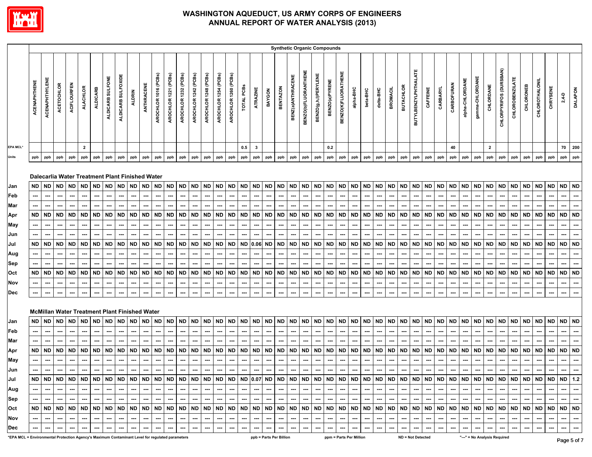

|                                                                                                 |                     |                       |                   |             |                          |                          |                          |                    |                                                      |                          |                      |                          |                          |                          |                          |                      |                          |                          |                          |                          |                 | <b>Synthetic Organic Compounds</b> |                             |                             |                          |                     |                          |           |                          |                          |                  |                             |                          |                          |                          |                 |                          |                          |                              |                          |           |                |                          |                          |                          |
|-------------------------------------------------------------------------------------------------|---------------------|-----------------------|-------------------|-------------|--------------------------|--------------------------|--------------------------|--------------------|------------------------------------------------------|--------------------------|----------------------|--------------------------|--------------------------|--------------------------|--------------------------|----------------------|--------------------------|--------------------------|--------------------------|--------------------------|-----------------|------------------------------------|-----------------------------|-----------------------------|--------------------------|---------------------|--------------------------|-----------|--------------------------|--------------------------|------------------|-----------------------------|--------------------------|--------------------------|--------------------------|-----------------|--------------------------|--------------------------|------------------------------|--------------------------|-----------|----------------|--------------------------|--------------------------|--------------------------|
|                                                                                                 | <b>ACENAPHTHENE</b> | <b>ACENAPHTHYLENE</b> | <b>ACETOCHLOR</b> | ACIFLOURFEN | <b>ALACHLOR</b>          | <b>ALDICARB</b>          | ALDICARB SULFONE         | ALDICARB SULFOXIDE | <b>ALDRIN</b>                                        | ANTHRACENE               | AROCHLOR 1016 (PCBs) | AROCHLOR 1221 (PCBs)     | AROCHLOR 1232 (PCBs)     | AROCHLOR 1242 (PCBs)     | AROCHLOR 1248 (PCBs)     | AROCHLOR 1254 (PCBs) | AROCHLOR 1260 (PCBs)     | TOTAL PCBs               | ATRAZINE                 | BAYGON                   | <b>BENTAZON</b> | BENZ(a)ANTHRACENE                  | <b>BENZO(b)FLUORANTHENE</b> | <b>BENZO(g,h,l)PERYLENE</b> | BENZO(a)PYRENE           | BENZO(K)FLUORATHENE | alpha-BHC                | beta-BHC  | delta-BHC                | <b>BROMACIL</b>          | <b>BUTACHLOR</b> | <b>BUTYLBENZYLPHTHALATE</b> | CAFFEINE                 | CARBARYL                 | CARBOFURAN               | alpha-CHLORDANE | gamma-CHLORDANE          | CHLORDANE                | CHLORPYRIFOS (DURSBAN)       | <b>CHLOROBENZILATE</b>   | CHLORONEB | CHLOROTHALONIL | CHRYSENE                 | $2,4-D$                  | <b>DALAPON</b>           |
| <b>EPA MCL*</b>                                                                                 |                     |                       |                   |             | $\overline{2}$           |                          |                          |                    |                                                      |                          |                      |                          |                          |                          |                          |                      |                          | 0.5                      | $\mathbf{3}$             |                          |                 |                                    |                             |                             | 0.2                      |                     |                          |           |                          |                          |                  |                             |                          |                          | 40                       |                 |                          | $\mathbf{2}$             |                              |                          |           |                |                          | 70                       | 200                      |
| Units                                                                                           | ppb                 | ppb                   | ppb               | ppb         | ppb                      | ppb                      | ppb                      | ppb                | ppb                                                  | ppb                      | ppb                  | ppb                      | ppb                      | ppb                      | ppb                      | ppb                  | ppb                      | ppb                      | ppb                      | ppb                      | ppb             | ppb                                | ppb                         | ppb                         | ppb                      | ppb                 | ppb                      | ppb       | ppb                      | ppb                      | ppb              | ppb                         | ppb                      | ppb                      | ppb                      | ppb             | ppb                      | ppb                      | ppb                          | ppb                      | ppb       | ppb            | ppb                      | ppb                      | ppb                      |
|                                                                                                 |                     |                       |                   |             |                          |                          |                          |                    | Dalecarlia Water Treatment Plant Finished Water      |                          |                      |                          |                          |                          |                          |                      |                          |                          |                          |                          |                 |                                    |                             |                             |                          |                     |                          |           |                          |                          |                  |                             |                          |                          |                          |                 |                          |                          |                              |                          |           |                |                          |                          |                          |
| Jan                                                                                             | ND                  | ND                    | <b>ND</b>         | <b>ND</b>   | <b>ND</b>                | <b>ND</b>                | <b>ND</b>                | <b>ND</b>          | <b>ND</b>                                            | <b>ND</b>                | <b>ND</b>            | <b>ND</b>                | <b>ND</b>                | ${\sf ND}$               | <b>ND</b>                | <b>ND</b>            | <b>ND</b>                | ND                       | <b>ND</b>                | <b>ND</b>                | <b>ND</b>       | <b>ND</b>                          | ND                          | <b>ND</b>                   | ND ND                    |                     | <b>ND</b>                | ND        | <b>ND</b>                | ND ND                    |                  | <b>ND</b>                   | ND                       | <b>ND</b>                | <b>ND</b>                | <b>ND</b>       | <b>ND</b>                | ND                       | <b>ND</b>                    | <b>ND</b>                | <b>ND</b> | <b>ND</b>      | ND                       | ND ND                    |                          |
| Feb                                                                                             |                     | ---                   | ---               | …           |                          | ---                      | ---                      | ---                | ---                                                  | ---                      | ---                  | ---                      | ---                      | ---                      | ---                      | ---                  | ---                      | ---                      | ---                      | ---                      | ---             | ---                                | ---                         | ---                         | ---                      | ---                 | ---                      | ---       | ---                      | ---                      | ---              | ---                         | ---                      | ---                      | ---                      | ---             | ---                      | ---                      | ---                          |                          | ---       | ---            | ---                      | ---                      | …                        |
| Mar                                                                                             |                     | ---                   |                   | ---         | ---                      |                          |                          |                    | ---                                                  | ---                      |                      | ---                      |                          | ---                      | ---                      |                      | ---                      | ---                      | ---                      | ---                      |                 | ---                                |                             | ---                         | ---                      |                     | ---                      |           | ---                      | ---                      |                  | ---                         |                          | ---                      | ---                      |                 | ---                      |                          | ---                          |                          | ---       |                |                          | ---                      | ---                      |
| Apr                                                                                             | ND                  | ND                    | ND                | ND          | <b>ND</b>                | <b>ND</b>                | ND                       | ND                 | <b>ND</b>                                            | <b>ND</b>                | <b>ND</b>            | <b>ND</b>                | <b>ND</b>                | ND                       | <b>ND</b>                | <b>ND</b>            | <b>ND</b>                | <b>ND</b>                | ND                       | <b>ND</b>                | <b>ND</b>       | ND                                 | ND                          | ND                          | <b>ND</b>                | <b>ND</b>           | ND                       | <b>ND</b> | ND                       | <b>ND</b>                | <b>ND</b>        | <b>ND</b>                   | ND                       | ND                       | <b>ND</b>                | <b>ND</b>       | <b>ND</b>                | <b>ND</b>                | <b>ND</b>                    | <b>ND</b>                | <b>ND</b> | <b>ND</b>      | <b>ND</b>                | <b>ND</b>                | <b>ND</b>                |
| May                                                                                             |                     |                       |                   |             |                          |                          |                          |                    |                                                      |                          |                      |                          |                          |                          |                          |                      |                          |                          |                          |                          |                 |                                    |                             |                             |                          |                     |                          |           |                          |                          |                  |                             |                          |                          |                          |                 |                          |                          |                              |                          |           |                |                          |                          | ---                      |
| Jun                                                                                             |                     |                       |                   |             |                          |                          |                          |                    |                                                      |                          |                      |                          |                          |                          |                          |                      |                          |                          |                          |                          |                 |                                    |                             |                             |                          |                     |                          |           |                          |                          |                  |                             |                          |                          |                          |                 |                          |                          |                              |                          |           |                |                          |                          |                          |
| Jul                                                                                             | ND                  | ND                    | <b>ND</b>         | <b>ND</b>   | <b>ND</b>                | <b>ND</b>                | ND                       | <b>ND</b>          | <b>ND</b>                                            | <b>ND</b>                | <b>ND</b>            | <b>ND</b>                | <b>ND</b>                | <b>ND</b>                | <b>ND</b>                | <b>ND</b>            | <b>ND</b>                | <b>ND</b>                | 0.06                     | <b>ND</b>                | <b>ND</b>       | <b>ND</b>                          | <b>ND</b>                   | <b>ND</b>                   | <b>ND</b>                | <b>ND</b>           | <b>ND</b>                | <b>ND</b> | <b>ND</b>                | <b>ND</b>                | ND               | <b>ND</b>                   | ND                       | <b>ND</b>                | <b>ND</b>                | <b>ND</b>       | <b>ND</b>                | ND                       | <b>ND</b>                    | <b>ND</b>                | <b>ND</b> | <b>ND</b>      | <b>ND</b>                | <b>ND</b>                | <b>ND</b>                |
| Aug                                                                                             |                     | ---                   | ---               | ---         |                          | ---                      |                          | ---                | ---                                                  | ---                      | ---                  |                          | ---                      | ---                      | ---                      | ---                  | ---                      | ---                      | ---                      | ---                      | ---             | ---                                | ---                         | ---                         | ---                      | ---                 | ---                      | ---       | ---                      | ---                      | ---              |                             | ---                      | ---                      | ---                      | ---             |                          |                          | ---                          |                          | ---       |                |                          | ---                      | …                        |
| Sep                                                                                             |                     | ---                   |                   |             |                          |                          |                          |                    |                                                      |                          |                      |                          |                          |                          |                          |                      |                          |                          |                          |                          |                 |                                    |                             |                             |                          |                     |                          |           |                          |                          |                  |                             |                          |                          |                          |                 |                          |                          |                              |                          |           |                |                          |                          |                          |
| Oct                                                                                             | <b>ND</b>           | <b>ND</b>             | <b>ND</b>         | <b>ND</b>   | <b>ND</b>                | <b>ND</b>                | <b>ND</b>                | <b>ND</b>          | <b>ND</b>                                            | <b>ND</b>                | <b>ND</b>            | <b>ND</b>                | ND                       | <b>ND</b>                | <b>ND</b>                | <b>ND</b>            | <b>ND</b>                | <b>ND</b>                | <b>ND</b>                | <b>ND</b>                | <b>ND</b>       | <b>ND</b>                          | <b>ND</b>                   | <b>ND</b>                   | <b>ND</b>                | <b>ND</b>           | <b>ND</b>                | <b>ND</b> | <b>ND</b>                | <b>ND</b>                | <b>ND</b>        | <b>ND</b>                   | <b>ND</b>                | <b>ND</b>                | <b>ND</b>                | <b>ND</b>       | <b>ND</b>                | <b>ND</b>                | <b>ND</b>                    | <b>ND</b>                | <b>ND</b> | <b>ND</b>      | <b>ND</b>                | <b>ND</b>                | <b>ND</b>                |
| Nov                                                                                             |                     |                       |                   |             |                          | ---                      |                          |                    |                                                      |                          | ---                  |                          |                          |                          |                          |                      |                          |                          |                          |                          |                 |                                    |                             |                             |                          |                     |                          |           |                          |                          |                  |                             |                          |                          |                          |                 |                          |                          |                              |                          |           |                |                          |                          | ---                      |
| Dec                                                                                             |                     |                       |                   |             | ---                      |                          |                          |                    |                                                      | ---                      |                      |                          |                          |                          | ---                      | …                    |                          |                          |                          | ⊷                        |                 |                                    |                             |                             |                          |                     |                          |           |                          |                          |                  |                             |                          |                          |                          |                 |                          |                          |                              |                          |           |                |                          |                          |                          |
|                                                                                                 |                     |                       |                   |             |                          |                          |                          |                    | <b>McMillan Water Treatment Plant Finished Water</b> |                          |                      |                          |                          |                          |                          |                      |                          |                          |                          |                          |                 |                                    |                             |                             |                          |                     |                          |           |                          |                          |                  |                             |                          |                          |                          |                 |                          |                          |                              |                          |           |                |                          |                          |                          |
| Jan                                                                                             | <b>ND</b>           | ND                    | <b>ND</b>         | ND          | <b>ND</b>                | <b>ND</b>                | ND                       | ND                 | ND                                                   | <b>ND</b>                | <b>ND</b>            | <b>ND</b>                | <b>ND</b>                | <b>ND</b>                | <b>ND</b>                | <b>ND</b>            | <b>ND</b>                | ND                       | <b>ND</b>                | <b>ND</b>                | <b>ND</b>       | <b>ND</b>                          | ND                          | <b>ND</b>                   | <b>ND</b>                | <b>ND</b>           | <b>ND</b>                | ND        | <b>ND</b>                | <b>ND</b>                | <b>ND</b>        | <b>ND</b>                   | ND                       | <b>ND</b>                | <b>ND</b>                | <b>ND</b>       | <b>ND</b>                | ND                       | <b>ND</b>                    | <b>ND</b>                | <b>ND</b> | <b>ND</b>      | ND                       | <b>ND</b>                | <b>ND</b>                |
| Feb                                                                                             | ---                 | ---                   | ---               | ---         | ---                      | ---                      | ---                      | ---                | ---                                                  | ---                      | ---                  | ---                      | $\hspace{0.05cm} \cdots$ | ---                      | ---                      | ---                  | ---                      | ---                      | ---                      | ---                      | ---             | ---                                | ---                         | ---                         | ---                      | ---                 | ---                      | ---       | ---                      | ---                      | ---              | ---                         | ---                      | ---                      | ---                      | ---             | ---                      | $\hspace{0.05cm} \cdots$ | ---                          | ---                      | ---       | ---            | $\overline{\phantom{a}}$ | ---                      | …                        |
| Mar                                                                                             |                     | ---                   |                   |             |                          |                          |                          |                    |                                                      |                          |                      |                          |                          |                          |                          |                      |                          |                          |                          |                          |                 |                                    |                             |                             |                          |                     |                          |           |                          |                          |                  |                             |                          |                          |                          |                 |                          |                          |                              |                          |           |                |                          |                          | ---                      |
| Apr                                                                                             | ND                  | ND                    | ND                | <b>ND</b>   | <b>ND</b>                | ND                       | ND                       | ND                 | <b>ND</b>                                            | <b>ND</b>                | <b>ND</b>            | ND                       | ND                       | <b>ND</b>                | <b>ND</b>                | <b>ND</b>            | ND                       | ND                       | <b>ND</b>                | <b>ND</b>                | <b>ND</b>       | ND                                 | ND                          | ND                          | <b>ND</b>                | <b>ND</b>           | ND                       | ND        | ND                       | <b>ND</b>                | <b>ND</b>        | <b>ND</b>                   | ND                       | ND                       | <b>ND</b>                | <b>ND</b>       | ND                       | <b>ND</b>                | ND                           | <b>ND</b>                | <b>ND</b> | ND             | <b>ND</b>                | <b>ND</b>                | <b>ND</b>                |
| May                                                                                             | ---                 | ---                   | ---               | ---         | ---                      | ---                      | ---                      | ---                | ---                                                  | ---                      | ---                  | ---                      | ---                      | ---                      | ---                      | ---                  | ---                      | $\hspace{0.05cm} \cdots$ | ---                      | ---                      | ---             | ---                                | ---                         | ---                         | ---                      | ---                 | ---                      | ---       | ---                      | ---                      | ---              | ---                         | ---                      | ---                      | ---                      | ---             | ---                      | ---                      | ---                          | ---                      | ---       | ---            |                          | ---                      | ---                      |
| Jun                                                                                             | ---                 | ---                   | ---               | ---         | ---                      | $\hspace{0.05cm} \cdots$ | ---                      | ---                | ---                                                  | ---                      | ---                  | ---                      | ---                      | ---                      | ---                      | ---                  | ---                      | $\hspace{0.05cm} \cdots$ | ---                      | ---                      | ---             | ---                                | ---                         | ---                         | ---                      | ---                 | ---                      | ---       | ---                      | ---                      | ---              | ---                         | ---                      | ---                      | ---                      | ---             | ---                      |                          | ---                          |                          | ---       | ---            |                          |                          |                          |
| Jul                                                                                             |                     |                       |                   |             |                          |                          |                          |                    |                                                      |                          |                      |                          |                          |                          |                          |                      |                          |                          |                          |                          |                 |                                    |                             |                             |                          |                     |                          |           |                          |                          |                  |                             |                          |                          |                          |                 |                          |                          |                              |                          |           |                |                          |                          |                          |
| Aug                                                                                             |                     | ---                   | $\cdots$          | $\cdots$    | $\overline{\phantom{a}}$ | $\sim$                   | $\overline{\phantom{a}}$ | $\cdots$           | $\hspace{0.05cm} \cdots$                             | $\overline{\phantom{a}}$ | $\sim$               | $\overline{\phantom{a}}$ | $\sim$                   | $\hspace{0.05cm} \cdots$ | $\overline{\phantom{a}}$ | $\cdots$             | $\cdots$                 | $\sim$                   | $\hspace{0.05cm} \cdots$ | $\overline{\phantom{a}}$ | $\cdots$        | $\sim$                             | $\sim$                      | $\hspace{0.05cm} \cdots$    | $\overline{\phantom{a}}$ | $\cdots$            | $\cdots$                 | $\cdots$  | $\overline{\phantom{a}}$ | $\overline{\phantom{a}}$ | $\cdots$         | $\cdots$                    | $\cdots$                 | $\overline{\phantom{a}}$ | $\hspace{0.05cm} \cdots$ | $\cdots$        | $\cdots$                 | $\sim$                   | $\hspace{0.05cm} \cdots$     | $\hspace{0.05cm} \cdots$ | $\cdots$  | $\cdots$       | $\cdots$                 | $\hspace{0.05cm} \cdots$ | $\hspace{0.05cm} \cdots$ |
| Sep                                                                                             |                     | ---                   |                   | $\sim$      | $\overline{\phantom{a}}$ |                          | $\cdots$                 |                    | $\overline{\phantom{a}}$                             | $\overline{\phantom{a}}$ |                      | ---                      | $\sim$                   | $\overline{\phantom{a}}$ | $\hspace{0.05cm} \cdots$ |                      | $\cdots$                 | $\sim$                   | $\sim$                   | $\hspace{0.05cm} \cdots$ |                 | $\cdots$                           | $\overline{\phantom{a}}$    | ---                         | $\sim$ $\sim$            |                     | $\sim$                   | $\cdots$  | ---                      | $\overline{\phantom{a}}$ |                  | $\cdots$                    | $\hspace{0.05cm} \cdots$ | $\overline{\phantom{a}}$ |                          |                 | $\hspace{0.05cm} \cdots$ | $\cdots$                 | $\overline{\phantom{a}}$     |                          |           |                |                          | $\hspace{0.05cm} \cdots$ | $\cdots$                 |
| Oct                                                                                             |                     |                       |                   |             |                          |                          |                          |                    |                                                      |                          |                      |                          |                          |                          |                          |                      |                          |                          |                          |                          |                 |                                    |                             |                             |                          |                     |                          |           |                          |                          |                  |                             |                          |                          |                          |                 |                          |                          |                              |                          |           |                |                          |                          |                          |
| Nov                                                                                             |                     | ---                   |                   |             | $\cdots$                 | $\hspace{0.05cm} \cdots$ | ---                      |                    | $\overline{\phantom{a}}$                             | $\hspace{0.05cm} \cdots$ | ---                  | $\sim$                   |                          | $\overline{\phantom{a}}$ | $\hspace{0.05cm} \cdots$ |                      | $\hspace{0.05cm} \cdots$ |                          | $\sim$                   | $\hspace{0.05cm} \cdots$ | $\cdots$        | $\hspace{0.05cm} \cdots$           |                             | $\overline{\phantom{a}}$    | $\hspace{0.05cm} \cdots$ | $\cdots$            | $\sim$                   |           | $\overline{\phantom{a}}$ | ---                      | $\cdots$         | $\cdots$                    |                          | $\overline{\phantom{a}}$ | $\overline{\phantom{a}}$ | $\sim$          | $\sim$                   |                          | $\overline{\phantom{a}}$     |                          |           | ---            |                          | $\overline{\phantom{a}}$ | $\sim$                   |
| Dec                                                                                             |                     |                       |                   |             |                          |                          |                          |                    |                                                      |                          |                      |                          |                          |                          | ---                      | ---                  | $\overline{\phantom{a}}$ | ---                      |                          |                          | ---             |                                    |                             |                             |                          |                     | $\hspace{0.05cm} \cdots$ |           |                          |                          | ---              | $\hspace{0.05cm} \cdots$    |                          |                          |                          | ---             | ---                      |                          |                              |                          |           | ---            | $\hspace{0.05cm} \cdots$ | ---                      | $\hspace{0.05cm} \cdots$ |
| *EPA MCL = Environmental Protection Agency's Maximum Contaminant Level for regulated parameters |                     |                       |                   |             |                          |                          |                          |                    |                                                      |                          |                      |                          |                          |                          |                          |                      |                          |                          |                          | ppb = Parts Per Billion  |                 |                                    |                             |                             |                          |                     | ppm = Parts Per Million  |           |                          |                          |                  | ND = Not Detected           |                          |                          |                          |                 |                          |                          | "---" = No Analysis Required |                          |           |                |                          | Pone 5 of 7              |                          |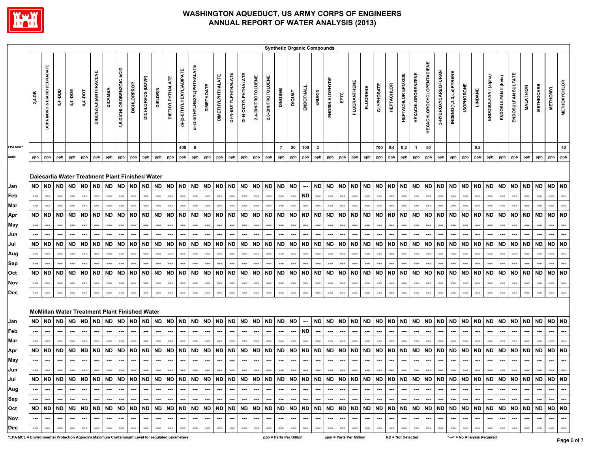

|                                                                                                 |                                                                 |                                                                                     |                                                                                     |                                                                               |                                                         |                                                                       |                                                                              |                                                                                                                                                                                     |                                                                       |                                                                              |                                                                       |                                                                          |                                                                                     |                                                                              |                                                                                     |                                                                       |                                                                |                                                                                            |                                                                              |                                                                              |                                                                |                                                                                                   |                                                                                            | <b>Synthetic Organic Compounds</b>                                                         |                                                                                            |                                                                                                          |                                                                                |                                                                              |                                                                                            |                                                                                     |                                                                              |                                                                       |                                                                              |                                                                              |                                                                         |                                                                |                                                                       |                                                                |                                                                             |                                                  |                                                                       |                                                                |                                                                                 |                                                                               |
|-------------------------------------------------------------------------------------------------|-----------------------------------------------------------------|-------------------------------------------------------------------------------------|-------------------------------------------------------------------------------------|-------------------------------------------------------------------------------|---------------------------------------------------------|-----------------------------------------------------------------------|------------------------------------------------------------------------------|-------------------------------------------------------------------------------------------------------------------------------------------------------------------------------------|-----------------------------------------------------------------------|------------------------------------------------------------------------------|-----------------------------------------------------------------------|--------------------------------------------------------------------------|-------------------------------------------------------------------------------------|------------------------------------------------------------------------------|-------------------------------------------------------------------------------------|-----------------------------------------------------------------------|----------------------------------------------------------------|--------------------------------------------------------------------------------------------|------------------------------------------------------------------------------|------------------------------------------------------------------------------|----------------------------------------------------------------|---------------------------------------------------------------------------------------------------|--------------------------------------------------------------------------------------------|--------------------------------------------------------------------------------------------|--------------------------------------------------------------------------------------------|----------------------------------------------------------------------------------------------------------|--------------------------------------------------------------------------------|------------------------------------------------------------------------------|--------------------------------------------------------------------------------------------|-------------------------------------------------------------------------------------|------------------------------------------------------------------------------|-----------------------------------------------------------------------|------------------------------------------------------------------------------|------------------------------------------------------------------------------|-------------------------------------------------------------------------|----------------------------------------------------------------|-----------------------------------------------------------------------|----------------------------------------------------------------|-----------------------------------------------------------------------------|--------------------------------------------------|-----------------------------------------------------------------------|----------------------------------------------------------------|---------------------------------------------------------------------------------|-------------------------------------------------------------------------------|
|                                                                                                 | 2,4-DB                                                          | MONO & DIACID DEGRADATE<br>DCPA                                                     | 4,4'-DDD                                                                            | $4,4$ '-DDE                                                                   | 4,4'-DDT                                                | DIBENZ(a,h)ANTHRACENE                                                 | <b>DICAMBA</b>                                                               | 3,5-DICHLOROBENZOIC ACID                                                                                                                                                            | DICHLORPROP                                                           | DICHLORVOS (DDVP)                                                            | <b>DIELDRIN</b>                                                       | DIETHYLPHTHALATE                                                         | di-(2-ETHYLHEXYL)ADIPATE                                                            | di-(2-ETHYLHEXYL)PHTHALATE                                                   | <b>DIMETHOATE</b>                                                                   | <b>DIMETHYLPHTHALATE</b>                                              | DI-N-BUTYLPHTHALATE                                            | DI-N-OCTYLPHTHALATE                                                                        | 2,4-DINITROTOLUENE                                                           | 2,6-DINITROTOLUENE                                                           | DINOSEB                                                        | <b>DIQUAT</b>                                                                                     | ENDOTHAL                                                                                   | ENDRIN                                                                                     | ENDRIN ALDEHYDE                                                                            | EPTC                                                                                                     | <b>FLUORANTHENE</b>                                                            | <b>FLUORENE</b>                                                              | <b>GLYPHOSATE</b>                                                                          | <b>HEPTACHLOR</b>                                                                   | HEPTACHLOR EPOXIDE                                                           | <b>HEXACHLOROBENZENE</b>                                              | HEXACHLOROCYCLOPENTADIENE                                                    | 3-HYDROXYCARBOFURAN                                                          | INDENO(1,2,3,c,d)PYRENE                                                 | <b>ISOPHORONE</b>                                              | LINDANE                                                               | ENDOSULFAN I (alpha)                                           | ENDOSULFAN II (beta)                                                        | ENDOSULFAN SULFATE                               | <b>MALATHION</b>                                                      | <b>METHIOCARB</b>                                              | <b>METHOMYL</b>                                                                 | <b>METHOXYCHLOR</b>                                                           |
| EPA MCL*                                                                                        |                                                                 |                                                                                     |                                                                                     |                                                                               |                                                         |                                                                       |                                                                              |                                                                                                                                                                                     |                                                                       |                                                                              |                                                                       |                                                                          | 400                                                                                 | 6                                                                            |                                                                                     |                                                                       |                                                                |                                                                                            |                                                                              |                                                                              | $\overline{7}$                                                 | 20                                                                                                | 100                                                                                        | $\overline{\mathbf{2}}$                                                                    |                                                                                            |                                                                                                          |                                                                                |                                                                              | 700                                                                                        | 0.4                                                                                 | 0.2                                                                          | $\overline{1}$                                                        | 50                                                                           |                                                                              |                                                                         |                                                                | 0.2                                                                   |                                                                |                                                                             |                                                  |                                                                       |                                                                |                                                                                 | 40                                                                            |
| Units                                                                                           | ppb                                                             | ppb                                                                                 | ppb                                                                                 | ppb                                                                           | ppb                                                     | ppb                                                                   | ppb                                                                          | ppb                                                                                                                                                                                 | ppb                                                                   | ppb                                                                          | ppb                                                                   | ppb                                                                      | ppb                                                                                 | ppb                                                                          | ppb                                                                                 | ppb                                                                   | ppb                                                            | ppb                                                                                        | ppb                                                                          | ppb                                                                          | ppb                                                            | ppb                                                                                               | ppb                                                                                        | ppb                                                                                        | ppb                                                                                        | ppb                                                                                                      | ppb                                                                            | ppb                                                                          | ppb                                                                                        | ppb                                                                                 | ppb                                                                          | ppb                                                                   | ppb                                                                          | ppb                                                                          | ppb                                                                     | ppb                                                            | ppb                                                                   | ppb                                                            | ppb                                                                         | ppb                                              | ppb                                                                   | ppb                                                            | ppb                                                                             | ppb                                                                           |
| Jan<br>Feb<br>Mar<br>Apr<br>May<br>Jun<br>Jul<br>Aug<br>Sep<br>Oct<br>Nov<br>Dec                | ND.<br>$\overline{\phantom{a}}$<br>ND<br>ND<br><b>ND</b><br>--- | <b>ND</b><br>---<br><b>ND</b><br>---<br><b>ND</b><br>---<br><b>ND</b><br>---<br>--- | <b>ND</b><br>---<br>---<br><b>ND</b><br><b>ND</b><br>---<br><b>ND</b><br>---<br>--- | <b>ND</b><br><br>---<br><b>ND</b><br><b>ND</b><br><br>---<br><b>ND</b><br>--- | <b>ND</b><br><b>ND</b><br><b>ND</b><br><b>ND</b><br>--- | <b>ND</b><br>---<br>ND<br><b>ND</b><br>---<br><b>ND</b><br>---<br>--- | <b>ND</b><br>---<br><b>ND</b><br><b>ND</b><br>---<br><b>ND</b><br>---<br>--- | Dalecarlia Water Treatment Plant Finished Water<br><b>ND</b><br><b>ND</b><br>⊷<br><b>ND</b><br>---<br><b>ND</b><br>⊷<br>---<br><b>McMillan Water Treatment Plant Finished Water</b> | <b>ND</b><br>---<br><b>ND</b><br>ND<br>---<br><b>ND</b><br>---<br>--- | <b>ND</b><br>---<br>ND<br>---<br><b>ND</b><br>---<br><b>ND</b><br>---<br>--- | <b>ND</b><br><b>ND</b><br><b>ND</b><br>---<br><b>ND</b><br>---<br>--- | <b>ND</b><br>---<br><b>ND</b><br><b>ND</b><br>---<br><b>ND</b><br>⊷<br>⊷ | <b>ND</b><br>---<br><b>ND</b><br>---<br><b>ND</b><br>---<br><b>ND</b><br>---<br>--- | <b>ND</b><br>---<br><b>ND</b><br><b>ND</b><br>---<br><b>ND</b><br>---<br>--- | <b>ND</b><br>---<br>---<br><b>ND</b><br><b>ND</b><br>---<br><b>ND</b><br>---<br>--- | <b>ND</b><br>ND<br>---<br><b>ND</b><br>---<br><b>ND</b><br>---<br>--- | <b>ND</b><br>---<br><b>ND</b><br>ND<br>---<br><b>ND</b><br>--- | <b>ND</b><br>---<br>---<br><b>ND</b><br>---<br><b>ND</b><br>---<br><b>ND</b><br>---<br>--- | <b>ND</b><br>---<br>---<br>ND<br>---<br>ND<br>---<br><b>ND</b><br>---<br>--- | <b>ND</b><br>---<br>---<br>ND<br>---<br>ND<br>---<br><b>ND</b><br>---<br>--- | ND<br>---<br>ND<br>---<br>ND<br>---<br><b>ND</b><br>---<br>--- | <b>ND</b><br>---<br>---<br><b>ND</b><br>---<br><b>ND</b><br>---<br>---<br><b>ND</b><br>---<br>--- | ---<br><b>ND</b><br>---<br><b>ND</b><br><b>ND</b><br>---<br>---<br><b>ND</b><br>---<br>--- | <b>ND</b><br>---<br>---<br>ND<br>---<br><b>ND</b><br>---<br>---<br><b>ND</b><br>---<br>--- | <b>ND</b><br>---<br>---<br><b>ND</b><br><b>ND</b><br>---<br>---<br><b>ND</b><br>---<br>--- | <b>ND</b><br>---<br>---<br><b>ND</b><br>---<br>---<br><b>ND</b><br>---<br>---<br><b>ND</b><br>---<br>--- | ND  <br>⊷<br>---<br>ND  <br>---<br><b>ND</b><br>---<br><b>ND</b><br>---<br>--- | <b>ND</b><br>---<br>---<br><b>ND</b><br><b>ND</b><br>---<br><b>ND</b><br>--- | <b>ND</b><br>---<br>---<br><b>ND</b><br>---<br><b>ND</b><br>---<br><b>ND</b><br>---<br>--- | <b>ND</b><br>---<br><b>ND</b><br>---<br><b>ND</b><br>---<br><b>ND</b><br>---<br>--- | <b>ND</b><br>---<br>---<br><b>ND</b><br><b>ND</b><br>---<br><b>ND</b><br>--- | <b>ND</b><br>---<br><b>ND</b><br>---<br><b>ND</b><br><b>ND</b><br>--- | <b>ND</b><br>---<br><b>ND</b><br><b>ND</b><br>---<br><b>ND</b><br>---<br>--- | <b>ND</b><br>---<br><b>ND</b><br><b>ND</b><br>---<br><b>ND</b><br>---<br>--- | <b>ND</b><br>…<br><b>ND</b><br><b>ND</b><br>--<br><b>ND</b><br>…<br>--- | <b>ND</b><br>---<br><b>ND</b><br>ND<br>---<br><b>ND</b><br>--- | <b>ND</b><br><b>ND</b><br><b>ND</b><br>---<br><b>ND</b><br>---<br>--- | <b>ND</b><br><b>ND</b><br><b>ND</b><br><b>ND</b><br>---<br>--- | <b>ND</b><br>---<br><b>ND</b><br><b>ND</b><br>---<br><b>ND</b><br>--<br>--- | <b>ND</b><br>ND<br><b>ND</b><br><b>ND</b><br>--- | <b>ND</b><br>---<br><b>ND</b><br><b>ND</b><br>---<br><b>ND</b><br>--- | <b>ND</b><br><b>ND</b><br><b>ND</b><br>---<br><b>ND</b><br>--- | ND ND<br>⊷<br>---<br>ND  <br>---<br><b>ND</b><br>---<br><b>ND</b><br>---<br>--- | $\overline{\phantom{a}}$<br>---<br><b>ND</b><br><b>ND</b><br><b>ND</b><br>--- |
| Jan                                                                                             | <b>ND</b>                                                       | <b>ND</b>                                                                           | <b>ND</b>                                                                           | <b>ND</b>                                                                     | <b>ND</b>                                               | <b>ND</b>                                                             | <b>ND</b>                                                                    | <b>ND</b>                                                                                                                                                                           | <b>ND</b>                                                             | <b>ND</b>                                                                    | <b>ND</b>                                                             | <b>ND</b>                                                                | <b>ND</b>                                                                           | <b>ND</b>                                                                    | <b>ND</b>                                                                           | <b>ND</b>                                                             | <b>ND</b>                                                      | <b>ND</b>                                                                                  | <b>ND</b>                                                                    | <b>ND</b>                                                                    | ND                                                             | <b>ND</b>                                                                                         | ---                                                                                        | <b>ND</b>                                                                                  | <b>ND</b>                                                                                  | <b>ND</b>                                                                                                | ND ND                                                                          |                                                                              | <b>ND</b>                                                                                  | <b>ND</b>                                                                           | <b>ND</b>                                                                    | <b>ND</b>                                                             | <b>ND</b>                                                                    | <b>ND</b>                                                                    | <b>ND</b>                                                               | <b>ND</b>                                                      | <b>ND</b>                                                             | <b>ND</b>                                                      | <b>ND</b>                                                                   | <b>ND</b>                                        | <b>ND</b>                                                             | <b>ND</b>                                                      | ND ND                                                                           |                                                                               |
| Feb                                                                                             |                                                                 | ---                                                                                 | ---                                                                                 | …                                                                             |                                                         | ---                                                                   | ---                                                                          | ⊷                                                                                                                                                                                   | ---                                                                   | ---                                                                          | ---                                                                   | ---                                                                      | ---                                                                                 | ---                                                                          | ---                                                                                 | ---                                                                   |                                                                | ---                                                                                        | ---                                                                          | ---                                                                          |                                                                | ---                                                                                               | ND                                                                                         | ---                                                                                        | ---                                                                                        | ---                                                                                                      | ---                                                                            | ---                                                                          | ---                                                                                        | ---                                                                                 |                                                                              |                                                                       | ---                                                                          | ---                                                                          | ---                                                                     | ---                                                            |                                                                       | ---                                                            | ---                                                                         |                                                  |                                                                       | ---                                                            | ---                                                                             | $\overline{\phantom{a}}$                                                      |
| Mar                                                                                             |                                                                 |                                                                                     |                                                                                     |                                                                               |                                                         |                                                                       |                                                                              |                                                                                                                                                                                     |                                                                       |                                                                              |                                                                       |                                                                          |                                                                                     |                                                                              |                                                                                     |                                                                       |                                                                |                                                                                            |                                                                              |                                                                              |                                                                |                                                                                                   |                                                                                            |                                                                                            |                                                                                            | ---                                                                                                      |                                                                                |                                                                              |                                                                                            |                                                                                     |                                                                              |                                                                       |                                                                              |                                                                              |                                                                         |                                                                |                                                                       |                                                                |                                                                             |                                                  |                                                                       |                                                                |                                                                                 |                                                                               |
| Apr                                                                                             | ND                                                              | ND                                                                                  | <b>ND</b>                                                                           | <b>ND</b>                                                                     | <b>ND</b>                                               | <b>ND</b>                                                             | <b>ND</b>                                                                    |                                                                                                                                                                                     | ND ND                                                                 | <b>ND</b>                                                                    | <b>ND</b>                                                             | ND                                                                       | ND                                                                                  | <b>ND</b>                                                                    | <b>ND</b>                                                                           | ND                                                                    | <b>ND</b>                                                      | ND                                                                                         | <b>ND</b>                                                                    | ND                                                                           | ND                                                             | <b>ND</b>                                                                                         | ND                                                                                         | ND                                                                                         | <b>ND</b>                                                                                  | <b>ND</b>                                                                                                | ND ND                                                                          |                                                                              | <b>ND</b>                                                                                  | <b>ND</b>                                                                           | <b>ND</b>                                                                    | <b>ND</b>                                                             | <b>ND</b>                                                                    | <b>ND</b>                                                                    | <b>ND</b>                                                               | ND                                                             | <b>ND</b>                                                             | <b>ND</b>                                                      | <b>ND</b>                                                                   | ND                                               | <b>ND</b>                                                             | <b>ND</b>                                                      | ND ND                                                                           |                                                                               |
| May                                                                                             |                                                                 | ---                                                                                 | ---                                                                                 | ---                                                                           | ---                                                     |                                                                       | ---                                                                          | ---                                                                                                                                                                                 | ---                                                                   | ---                                                                          | ---                                                                   | ---                                                                      | ---                                                                                 | ---                                                                          | ---                                                                                 | ---                                                                   | ---                                                            | ---                                                                                        | ---                                                                          | ---                                                                          | ---                                                            | ---                                                                                               | ---                                                                                        | ---                                                                                        | ---                                                                                        | ---                                                                                                      | ---                                                                            | ---                                                                          | ---                                                                                        | ---                                                                                 | ---                                                                          | ---                                                                   |                                                                              | ---                                                                          | ---                                                                     | ---                                                            | ---                                                                   | ---                                                            | ---                                                                         | ---                                              |                                                                       | ---                                                            | ---                                                                             |                                                                               |
| Jun                                                                                             |                                                                 |                                                                                     | ---                                                                                 |                                                                               |                                                         | ---                                                                   | ---                                                                          | ---                                                                                                                                                                                 | ---                                                                   | ---                                                                          | ---                                                                   | ---                                                                      |                                                                                     | ---                                                                          | ---                                                                                 |                                                                       | ---                                                            | ---                                                                                        | ---                                                                          | ---                                                                          |                                                                | ---                                                                                               | ---                                                                                        |                                                                                            | ---                                                                                        | ---                                                                                                      |                                                                                |                                                                              |                                                                                            | ---                                                                                 |                                                                              |                                                                       |                                                                              |                                                                              |                                                                         | ---                                                            |                                                                       |                                                                |                                                                             |                                                  | ---                                                                   |                                                                | ---                                                                             |                                                                               |
| Jul                                                                                             |                                                                 |                                                                                     |                                                                                     |                                                                               |                                                         |                                                                       |                                                                              |                                                                                                                                                                                     |                                                                       |                                                                              |                                                                       |                                                                          |                                                                                     |                                                                              |                                                                                     |                                                                       |                                                                |                                                                                            |                                                                              |                                                                              |                                                                |                                                                                                   |                                                                                            |                                                                                            |                                                                                            |                                                                                                          |                                                                                |                                                                              |                                                                                            |                                                                                     |                                                                              |                                                                       |                                                                              |                                                                              |                                                                         |                                                                |                                                                       |                                                                |                                                                             |                                                  |                                                                       |                                                                |                                                                                 |                                                                               |
| Aug                                                                                             |                                                                 | $\sim$                                                                              | $\sim$                                                                              | $\sim$                                                                        | $\hspace{0.05cm} \ldots$                                | $\hspace{0.05cm} \ldots$                                              | $\overline{a}$                                                               | $\sim$                                                                                                                                                                              | $\cdots$                                                              | ---                                                                          | $\overline{\phantom{a}}$                                              | $\cdots$                                                                 | $\sim$ $\sim$                                                                       | $\sim$                                                                       | $\sim$                                                                              | $\sim$                                                                | $\sim$                                                         | $\hspace{0.05cm} \ldots$                                                                   | $\qquad \qquad \cdots$                                                       | $- - -$                                                                      | $\sim$                                                         | $\hspace{0.05cm} \ldots$                                                                          | $\hspace{0.05cm} \cdots$                                                                   | $\sim$                                                                                     | $\sim$                                                                                     | $\sim$                                                                                                   | $\sim$                                                                         | $\sim$                                                                       | $\sim$                                                                                     | $\sim$                                                                              | $\sim$                                                                       | $\sim$                                                                | $\hspace{0.05cm} \ldots$                                                     | $\overline{\phantom{a}}$                                                     | $\sim$                                                                  | $\cdots$                                                       | $\overline{a}$                                                        | $\overline{a}$                                                 | ---                                                                         | $\cdots$                                         | $\sim$                                                                | $\sim$                                                         | $--$                                                                            | $\hspace{0.05cm} \ldots$                                                      |
| Sep                                                                                             |                                                                 | $\cdots$                                                                            |                                                                                     |                                                                               |                                                         |                                                                       |                                                                              |                                                                                                                                                                                     |                                                                       | ---                                                                          |                                                                       |                                                                          |                                                                                     | $\overline{\phantom{a}}$                                                     | ---                                                                                 |                                                                       |                                                                | $\overline{\phantom{a}}$                                                                   | $\hspace{0.05cm} \ldots$                                                     |                                                                              | $\overline{\phantom{a}}$                                       | ---                                                                                               |                                                                                            | $\hspace{0.05cm} \cdots$                                                                   | $\hspace{0.05cm} \cdots$                                                                   | $\cdots$                                                                                                 | $\sim$ $\sim$                                                                  |                                                                              | $\sim$                                                                                     |                                                                                     |                                                                              |                                                                       |                                                                              |                                                                              |                                                                         |                                                                |                                                                       |                                                                |                                                                             |                                                  |                                                                       |                                                                | ---                                                                             |                                                                               |
| Oct                                                                                             |                                                                 |                                                                                     |                                                                                     |                                                                               |                                                         |                                                                       |                                                                              |                                                                                                                                                                                     |                                                                       |                                                                              |                                                                       |                                                                          |                                                                                     |                                                                              |                                                                                     |                                                                       |                                                                |                                                                                            |                                                                              |                                                                              |                                                                |                                                                                                   |                                                                                            |                                                                                            |                                                                                            |                                                                                                          |                                                                                |                                                                              |                                                                                            |                                                                                     |                                                                              |                                                                       |                                                                              |                                                                              |                                                                         |                                                                |                                                                       |                                                                |                                                                             |                                                  |                                                                       |                                                                |                                                                                 |                                                                               |
| Nov                                                                                             |                                                                 | $\sim$                                                                              | ---                                                                                 | $\overline{\phantom{a}}$                                                      | $\overline{a}$                                          | $---$                                                                 | ---                                                                          | $\hspace{0.05cm} \cdots$                                                                                                                                                            | $\overline{a}$                                                        | $\overline{a}$                                                               | $\overline{\phantom{a}}$                                              | ---                                                                      | $\overline{\phantom{a}}$                                                            | ---                                                                          | $\hspace{0.05cm} \cdots$                                                            | ---                                                                   | ---                                                            | ---                                                                                        | $\hspace{0.05cm} \cdots$                                                     | $\qquad \qquad \cdots$                                                       | $\sim$                                                         | $\overline{\phantom{a}}$                                                                          | $\hspace{0.05cm} \cdots$                                                                   | $\sim$                                                                                     | $\sim$                                                                                     | $\overline{\phantom{a}}$                                                                                 | $\hspace{0.05cm} \cdots$                                                       | $\sim$                                                                       | $\sim$                                                                                     | ---                                                                                 | $\hspace{0.05cm} \cdots$                                                     | $\sim$                                                                | $\sim$ $\sim$                                                                | ---                                                                          | $--$                                                                    | $\sim$                                                         | $\overline{a}$                                                        | $\overline{\phantom{a}}$                                       | ---                                                                         | $\overline{\phantom{a}}$                         | $\overline{a}$                                                        | ---                                                            | ---                                                                             | $\cdots$                                                                      |
| Dec                                                                                             |                                                                 |                                                                                     |                                                                                     | ---                                                                           |                                                         |                                                                       |                                                                              | ---                                                                                                                                                                                 | ---                                                                   |                                                                              |                                                                       | ---                                                                      |                                                                                     | ---                                                                          | $\hspace{0.05cm} \cdots$                                                            | ---                                                                   | ---                                                            | ---                                                                                        | $\sim$                                                                       | ---                                                                          |                                                                | ---                                                                                               | ---                                                                                        | $\hspace{0.05cm} \cdots$                                                                   | $\cdots$                                                                                   | ---                                                                                                      | $\hspace{0.05cm} \cdots$                                                       | ---                                                                          | ---                                                                                        | ---                                                                                 | $\sim$                                                                       |                                                                       | $\hspace{0.05cm} \cdots$                                                     | $\hspace{0.05cm} \cdots$                                                     | ---                                                                     | ---                                                            |                                                                       | $\hspace{0.05cm} \cdots$                                       | ⊷                                                                           | ---                                              | $\hspace{0.05cm} \cdots$                                              | $\overline{\phantom{a}}$                                       | ---                                                                             | $\hspace{0.05cm} \cdots$                                                      |
| *EPA MCL = Environmental Protection Agency's Maximum Contaminant Level for regulated parameters |                                                                 |                                                                                     |                                                                                     |                                                                               |                                                         |                                                                       |                                                                              |                                                                                                                                                                                     |                                                                       |                                                                              |                                                                       |                                                                          |                                                                                     |                                                                              |                                                                                     |                                                                       |                                                                |                                                                                            |                                                                              |                                                                              | ppb = Parts Per Billion                                        |                                                                                                   |                                                                                            |                                                                                            |                                                                                            |                                                                                                          | ppm = Parts Per Million                                                        |                                                                              |                                                                                            |                                                                                     | ND = Not Detected                                                            |                                                                       |                                                                              |                                                                              | "---" = No Analysis Required                                            |                                                                |                                                                       |                                                                |                                                                             |                                                  |                                                                       |                                                                |                                                                                 |                                                                               |